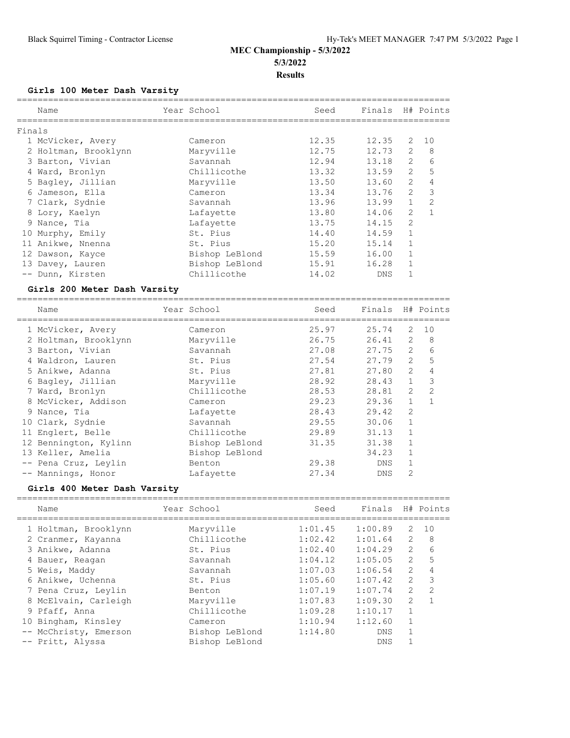**Girls 100 Meter Dash Varsity**

|        | Name<br>================     | Year School<br>===================== | Seed<br>-------------------------------    | Finals     |                | H# Points      |
|--------|------------------------------|--------------------------------------|--------------------------------------------|------------|----------------|----------------|
| Finals |                              |                                      |                                            |            |                |                |
|        | 1 McVicker, Avery            | Cameron                              | 12.35                                      | 12.35      | 2              | 10             |
|        | 2 Holtman, Brooklynn         | Maryville                            | 12.75                                      | 12.73      | $\overline{2}$ | 8              |
|        | 3 Barton, Vivian             | Savannah                             | 12.94                                      | 13.18      | $\overline{2}$ | 6              |
|        | 4 Ward, Bronlyn              | Chillicothe                          | 13.32                                      | 13.59      | 2              | 5              |
|        | 5 Bagley, Jillian            | Maryville                            | 13.50                                      | 13.60      | 2              | $\overline{4}$ |
|        | 6 Jameson, Ella              | Cameron                              | 13.34                                      | 13.76      | $\overline{2}$ | 3              |
|        | 7 Clark, Sydnie              | Savannah                             | 13.96                                      | 13.99      | $\mathbf{1}$   | $\overline{2}$ |
|        | 8 Lory, Kaelyn               | Lafayette                            | 13.80                                      | 14.06      | $\overline{2}$ | $\mathbf{1}$   |
|        | 9 Nance, Tia                 | Lafayette                            | 13.75                                      | 14.15      | $\overline{2}$ |                |
|        | 10 Murphy, Emily             | St. Pius                             | 14.40                                      | 14.59      | $\mathbf{1}$   |                |
|        | 11 Anikwe, Nnenna            | St. Pius                             | 15.20                                      | 15.14      | $\mathbf{1}$   |                |
|        | 12 Dawson, Kayce             | Bishop LeBlond                       | 15.59                                      | 16.00      | $\mathbf{1}$   |                |
|        | 13 Davey, Lauren             | Bishop LeBlond                       | 15.91                                      | 16.28      | $\mathbf{1}$   |                |
|        | -- Dunn, Kirsten             | Chillicothe                          | 14.02                                      | <b>DNS</b> | $\mathbf{1}$   |                |
|        | Girls 200 Meter Dash Varsity |                                      |                                            |            |                |                |
|        | Name                         | Year School                          | ----------------------------------<br>Seed | Finals     |                | H# Points      |
|        |                              |                                      | ----------------------------------         |            |                |                |
|        | 1 McVicker, Avery            | Cameron                              | 25.97                                      | 25.74      | 2              | 10             |
|        | 2 Holtman, Brooklynn         | Maryville                            | 26.75                                      | 26.41      | 2              | 8              |
|        | 3 Barton, Vivian             | Savannah                             | 27.08                                      | 27.75      | 2              | 6              |
|        | 4 Waldron, Lauren            | St. Pius                             | 27.54                                      | 27.79      | 2              | 5              |
|        | 5 Anikwe, Adanna             | St. Pius                             | 27.81                                      | 27.80      | $\overline{2}$ | $\overline{4}$ |
|        | 6 Bagley, Jillian            | Maryville                            | 28.92                                      | 28.43      | $\mathbf{1}$   | 3              |
|        | 7 Ward, Bronlyn              | Chillicothe                          | 28.53                                      | 28.81      | $\overline{2}$ | $\overline{2}$ |
|        | 8 McVicker, Addison          | Cameron                              | 29.23                                      | 29.36      | $\mathbf{1}$   | $\mathbf{1}$   |
|        | 9 Nance, Tia                 | Lafayette                            | 28.43                                      | 29.42      | $\overline{2}$ |                |
|        | 10 Clark, Sydnie             | Savannah                             | 29.55                                      | 30.06      | $\mathbf{1}$   |                |
|        | 11 Englert, Belle            | Chillicothe                          | 29.89                                      | 31.13      | $\mathbf{1}$   |                |
|        | 12 Bennington, Kylinn        | Bishop LeBlond                       | 31.35                                      | 31.38      | $\mathbf{1}$   |                |
|        | 13 Keller, Amelia            | Bishop LeBlond                       |                                            | 34.23      | $\mathbf{1}$   |                |
|        | -- Pena Cruz, Leylin         | Benton                               | 29.38                                      | DNS        | $\mathbf{1}$   |                |
|        | -- Mannings, Honor           | Lafayette                            | 27.34                                      | <b>DNS</b> | $\overline{2}$ |                |
|        | Girls 400 Meter Dash Varsity |                                      |                                            |            |                |                |
|        | Name                         | Year School                          | Seed                                       | Finals     |                | H# Points      |
|        |                              |                                      |                                            |            |                |                |
|        | 1 Holtman, Brooklynn         | Maryville                            | 1:01.45                                    | 1:00.89    | 2              | 10             |
|        | 2 Cranmer, Kayanna           | Chillicothe                          | 1:02.42                                    | 1:01.64    | 2              | 8              |
|        | 3 Anikwe, Adanna             | St. Pius                             | 1:02.40                                    | 1:04.29    | $\overline{2}$ | 6              |

| s Anikwe, Adanna      | St. Fius       | 1:02.40 | 1:04.Z9 |              | n.                      |
|-----------------------|----------------|---------|---------|--------------|-------------------------|
| 4 Bauer, Reagan       | Savannah       | 1:04.12 | 1:05.05 | 2            | -5                      |
| 5 Weis, Maddy         | Savannah       | 1:07.03 | 1:06.54 | 2            | $\overline{4}$          |
| 6 Anikwe, Uchenna     | St. Pius       | 1:05.60 | 1:07.42 | 2            | $\overline{\mathbf{3}}$ |
| 7 Pena Cruz, Leylin   | Benton         | 1:07.19 | 1:07.74 | 2            | -2                      |
| 8 McElvain, Carleigh  | Maryville      | 1:07.83 | 1:09.30 | 2            |                         |
| 9 Pfaff, Anna         | Chillicothe    | 1:09.28 | 1:10.17 | $\mathbf{1}$ |                         |
| 10 Bingham, Kinsley   | Cameron        | 1:10.94 | 1:12.60 | 1            |                         |
| -- McChristy, Emerson | Bishop LeBlond | 1:14.80 | DNS     |              |                         |
| -- Pritt, Alyssa      | Bishop LeBlond |         | DNS     |              |                         |
|                       |                |         |         |              |                         |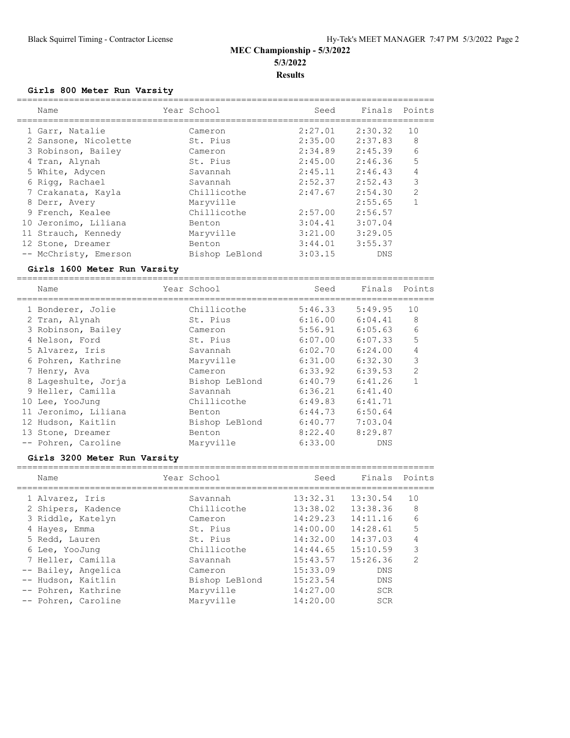## **Girls 800 Meter Run Varsity**

| Name                  | Year School    | Seed    | Finals Points |                |
|-----------------------|----------------|---------|---------------|----------------|
| 1 Garr, Natalie       | Cameron        | 2:27.01 | 2:30.32       | 10             |
| 2 Sansone, Nicolette  | St. Pius       | 2:35.00 | 2:37.83       | 8              |
| 3 Robinson, Bailey    | Cameron        | 2:34.89 | 2:45.39       | 6              |
| 4 Tran, Alynah        | St. Pius       | 2:45.00 | 2:46.36       | 5              |
| 5 White, Adycen       | Savannah       | 2:45.11 | 2:46.43       | 4              |
| 6 Rigg, Rachael       | Savannah       | 2:52.37 | 2:52.43       | 3              |
| 7 Crakanata, Kayla    | Chillicothe    | 2:47.67 | 2:54.30       | $\overline{2}$ |
| 8 Derr, Avery         | Maryville      |         | 2:55.65       |                |
| 9 French, Kealee      | Chillicothe    | 2:57.00 | 2:56.57       |                |
| 10 Jeronimo, Liliana  | Benton         | 3:04.41 | 3:07.04       |                |
| 11 Strauch, Kennedy   | Maryville      | 3:21.00 | 3:29.05       |                |
| 12 Stone, Dreamer     | Benton         | 3:44.01 | 3:55.37       |                |
| -- McChristy, Emerson | Bishop LeBlond | 3:03.15 | DNS           |                |

#### **Girls 1600 Meter Run Varsity**

================================================================================ Name Year School Seed Finals Points

| 1 Bonderer, Jolie    | Chillicothe    | 5:46.33 | 5:49.95    | 10             |
|----------------------|----------------|---------|------------|----------------|
| 2 Tran, Alynah       | St. Pius       | 6:16.00 | 6:04.41    | 8              |
| 3 Robinson, Bailey   | Cameron        | 5:56.91 | 6:05.63    | 6              |
| 4 Nelson, Ford       | St. Pius       | 6:07.00 | 6:07.33    | 5              |
| 5 Alvarez, Iris      | Savannah       | 6:02.70 | 6:24.00    | 4              |
| 6 Pohren, Kathrine   | Maryville      | 6:31.00 | 6:32.30    | 3              |
| 7 Henry, Ava         | Cameron        | 6:33.92 | 6:39.53    | $\overline{2}$ |
| 8 Lageshulte, Jorja  | Bishop LeBlond | 6:40.79 | 6:41.26    | $\mathbf{1}$   |
| 9 Heller, Camilla    | Savannah       | 6:36.21 | 6:41.40    |                |
| 10 Lee, YooJung      | Chillicothe    | 6:49.83 | 6:41.71    |                |
| 11 Jeronimo, Liliana | Benton         | 6:44.73 | 6:50.64    |                |
| 12 Hudson, Kaitlin   | Bishop LeBlond | 6:40.77 | 7:03.04    |                |
| 13 Stone, Dreamer    | Benton         | 8:22.40 | 8:29.87    |                |
| -- Pohren, Caroline  | Maryville      | 6:33.00 | <b>DNS</b> |                |

#### **Girls 3200 Meter Run Varsity**

| Name                | Year School    | Seed     | Finals     | Points         |
|---------------------|----------------|----------|------------|----------------|
| 1 Alvarez, Iris     | Savannah       | 13:32.31 | 13:30.54   | 10             |
| 2 Shipers, Kadence  | Chillicothe    | 13:38.02 | 13:38.36   | 8              |
| 3 Riddle, Katelyn   | Cameron        | 14:29.23 | 14:11.16   | 6              |
| 4 Hayes, Emma       | St. Pius       | 14:00.00 | 14:28.61   | 5              |
| 5 Redd, Lauren      | St. Pius       | 14:32.00 | 14:37.03   | 4              |
| 6 Lee, YooJung      | Chillicothe    | 14:44.65 | 15:10.59   | 3              |
| 7 Heller, Camilla   | Savannah       | 15:43.57 | 15:26.36   | $\mathfrak{D}$ |
| -- Bailey, Angelica | Cameron        | 15:33.09 | <b>DNS</b> |                |
| -- Hudson, Kaitlin  | Bishop LeBlond | 15:23.54 | <b>DNS</b> |                |
| -- Pohren, Kathrine | Maryville      | 14:27.00 | <b>SCR</b> |                |
| -- Pohren, Caroline | Maryville      | 14:20.00 | <b>SCR</b> |                |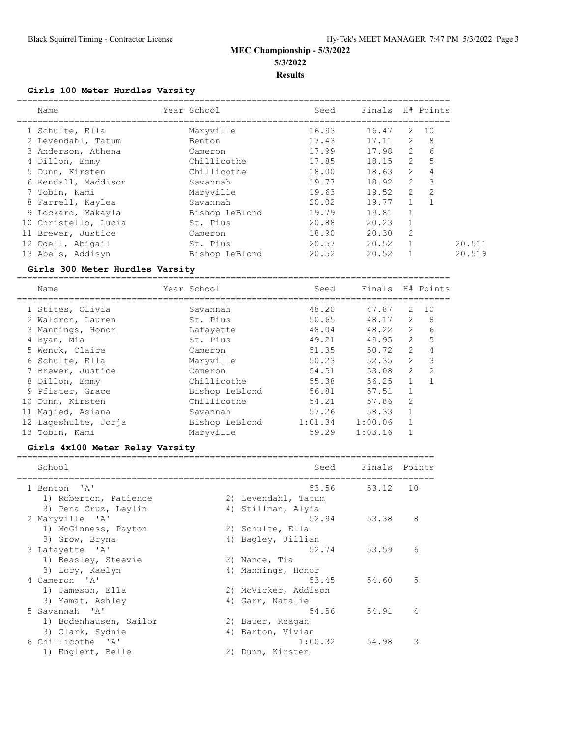## **Girls 100 Meter Hurdles Varsity**

| Name                 | Year School    | Seed  | Finals H# Points |                |                |
|----------------------|----------------|-------|------------------|----------------|----------------|
| 1 Schulte, Ella      | Maryville      | 16.93 | 16.47            |                | 2 10           |
| 2 Levendahl, Tatum   | Benton         | 17.43 | $17.11$ 2        |                | - 8            |
| 3 Anderson, Athena   | Cameron        | 17.99 | 17.98            | 2              | 6              |
| 4 Dillon, Emmy       | Chillicothe    | 17.85 | 18.15            | 2              | 5              |
| 5 Dunn, Kirsten      | Chillicothe    | 18.00 | 18.63            | 2              | $\overline{4}$ |
| 6 Kendall, Maddison  | Savannah       | 19.77 | 18.92            | 2              | $\mathbf{3}$   |
| 7 Tobin, Kami        | Maryville      | 19.63 | 19.52            | 2              | 2              |
| 8 Farrell, Kaylea    | Savannah       | 20.02 | 19.77            |                |                |
| 9 Lockard, Makayla   | Bishop LeBlond | 19.79 | 19.81            |                |                |
| 10 Christello, Lucia | St. Pius       | 20.88 | 20.23            |                |                |
| 11 Brewer, Justice   | Cameron        | 18.90 | 20.30            | 2              |                |
| 12 Odell, Abigail    | St. Pius       | 20.57 | 20.52            | $\overline{1}$ |                |
| 13 Abels, Addisyn    | Bishop LeBlond | 20.52 | 20.52            |                |                |

#### **Girls 300 Meter Hurdles Varsity**

===================================================================================

| Name                 | Year School    | Seed    | Finals  |                | H# Points      |
|----------------------|----------------|---------|---------|----------------|----------------|
| 1 Stites, Olivia     | Savannah       | 48.20   | 47.87   | 2              | 10             |
| 2 Waldron, Lauren    | St. Pius       | 50.65   | 48.17   | 2              | 8              |
| 3 Mannings, Honor    | Lafayette      | 48.04   | 48.22   | 2              | 6              |
| 4 Ryan, Mia          | St. Pius       | 49.21   | 49.95   | $\mathbf{2}$   | 5              |
| 5 Wenck, Claire      | Cameron        | 51.35   | 50.72   | $\overline{2}$ | 4              |
| 6 Schulte, Ella      | Maryville      | 50.23   | 52.35   | $\overline{2}$ | 3              |
| 7 Brewer, Justice    | Cameron        | 54.51   | 53.08   | $\overline{2}$ | 2              |
| 8 Dillon, Emmy       | Chillicothe    | 55.38   | 56.25   | $\mathbf{1}$   | $\overline{1}$ |
| 9 Pfister, Grace     | Bishop LeBlond | 56.81   | 57.51   | $\mathbf{1}$   |                |
| 10 Dunn, Kirsten     | Chillicothe    | 54.21   | 57.86   | $\mathfrak{D}$ |                |
| 11 Majied, Asiana    | Savannah       | 57.26   | 58.33   | $\mathbf{1}$   |                |
| 12 Lageshulte, Jorja | Bishop LeBlond | 1:01.34 | 1:00.06 |                |                |
| 13 Tobin, Kami       | Maryville      | 59.29   | 1:03.16 |                |                |

#### **Girls 4x100 Meter Relay Varsity**

| School                 | Seed                 | Finals | Points         |
|------------------------|----------------------|--------|----------------|
| 1 Benton 'A'           | 53.56                | 53.12  | 10             |
| 1) Roberton, Patience  | 2) Levendahl, Tatum  |        |                |
| 3) Pena Cruz, Leylin   | 4) Stillman, Alyia   |        |                |
| 2 Maryville 'A'        | 52.94                | 53.38  | 8              |
| 1) McGinness, Payton   | 2) Schulte, Ella     |        |                |
| 3) Grow, Bryna         | 4) Bagley, Jillian   |        |                |
| 3 Lafayette 'A'        | 52.74                | 53.59  | 6              |
| 1) Beasley, Steevie    | 2) Nance, Tia        |        |                |
| 3) Lory, Kaelyn        | 4) Mannings, Honor   |        |                |
| 4 Cameron 'A'          | 53.45                | 54.60  | 5              |
| 1) Jameson, Ella       | 2) McVicker, Addison |        |                |
| 3) Yamat, Ashley       | 4) Garr, Natalie     |        |                |
| 5 Savannah 'A'         | 54.56                | 54.91  | $\overline{4}$ |
| 1) Bodenhausen, Sailor | 2) Bauer, Reagan     |        |                |
| 3) Clark, Sydnie       | 4) Barton, Vivian    |        |                |
| 6 Chillicothe 'A'      | 1:00.32              | 54.98  | 3              |
| 1) Englert, Belle      | 2) Dunn, Kirsten     |        |                |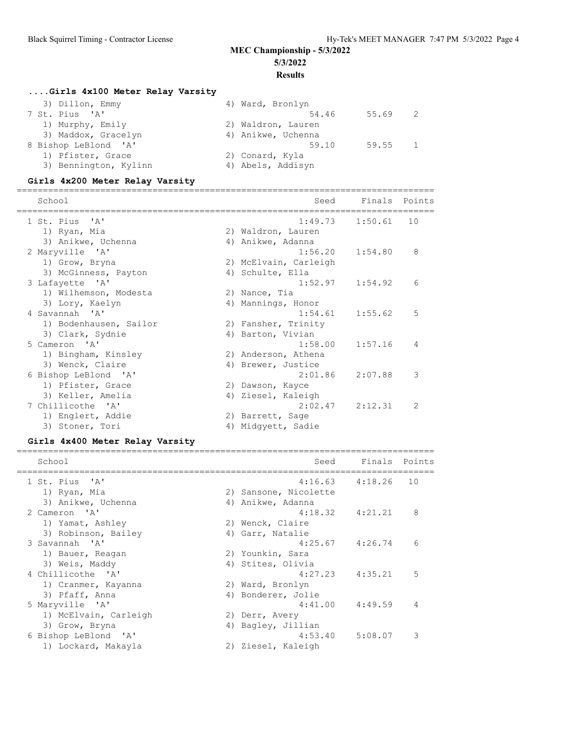#### **Results**

================================================================================

# **....Girls 4x100 Meter Relay Varsity**

| 3) Dillon, Emmy       | 4) Ward, Bronlyn   |         |  |
|-----------------------|--------------------|---------|--|
| 7 St. Pius 'A'        | 54.46              | 55.69 2 |  |
| 1) Murphy, Emily      | 2) Waldron, Lauren |         |  |
| 3) Maddox, Gracelyn   | 4) Anikwe, Uchenna |         |  |
| 8 Bishop LeBlond 'A'  | 59.10              | 59.55 1 |  |
| 1) Pfister, Grace     | 2) Conard, Kyla    |         |  |
| 3) Bennington, Kylinn | 4) Abels, Addisyn  |         |  |

## **Girls 4x200 Meter Relay Varsity**

| School                 |    | Seed                  | Finals              | Points        |
|------------------------|----|-----------------------|---------------------|---------------|
| 1 St. Pius 'A'         |    | 1:49.73               | 1:50.61             | 10            |
| 1) Ryan, Mia           |    | 2) Waldron, Lauren    |                     |               |
| 3) Anikwe, Uchenna     |    | 4) Anikwe, Adanna     |                     |               |
| 2 Maryville 'A'        |    |                       | $1:56.20$ $1:54.80$ | 8             |
| 1) Grow, Bryna         |    | 2) McElvain, Carleigh |                     |               |
| 3) McGinness, Payton   | 4) | Schulte, Ella         |                     |               |
| 3 Lafayette 'A'        |    | 1:52.97               | 1:54.92             | 6             |
| 1) Wilhemson, Modesta  |    | 2) Nance, Tia         |                     |               |
| 3) Lory, Kaelyn        |    | 4) Mannings, Honor    |                     |               |
| 4 Savannah 'A'         |    | 1:54.61               | 1:55.62             | 5             |
| 1) Bodenhausen, Sailor |    | 2) Fansher, Trinity   |                     |               |
| 3) Clark, Sydnie       |    | 4) Barton, Vivian     |                     |               |
| 5 Cameron 'A'          |    | 1:58.00               | 1:57.16             | 4             |
| 1) Bingham, Kinsley    |    | 2) Anderson, Athena   |                     |               |
| 3) Wenck, Claire       |    | 4) Brewer, Justice    |                     |               |
| 6 Bishop LeBlond 'A'   |    | 2:01.86               | 2:07.88             | 3             |
| 1) Pfister, Grace      |    | 2) Dawson, Kayce      |                     |               |
| 3) Keller, Amelia      | 4) | Ziesel, Kaleigh       |                     |               |
| 7 Chillicothe 'A'      |    | 2:02.47               | 2:12.31             | $\mathcal{P}$ |
| 1) Englert, Addie      |    | 2) Barrett, Sage      |                     |               |
| 3) Stoner, Tori        |    | 4) Midqyett, Sadie    |                     |               |

## **Girls 4x400 Meter Relay Varsity**

| School                | Seed                  | Finals Points       |    |
|-----------------------|-----------------------|---------------------|----|
| 1 St. Pius 'A'        |                       | $4:16.63$ $4:18.26$ | 10 |
| 1) Ryan, Mia          | 2) Sansone, Nicolette |                     |    |
| 3) Anikwe, Uchenna    | 4) Anikwe, Adanna     |                     |    |
| 2 Cameron 'A'         |                       | $4:18.32$ $4:21.21$ | 8  |
| 1) Yamat, Ashley      | 2) Wenck, Claire      |                     |    |
| 3) Robinson, Bailey   | 4) Garr, Natalie      |                     |    |
| 3 Savannah 'A'        |                       | $4:25.67$ $4:26.74$ | 6  |
| 1) Bauer, Reagan      | 2) Younkin, Sara      |                     |    |
| 3) Weis, Maddy        | 4) Stites, Olivia     |                     |    |
| 4 Chillicothe 'A'     |                       | $4:27.23$ $4:35.21$ | 5  |
| 1) Cranmer, Kayanna   | 2) Ward, Bronlyn      |                     |    |
| 3) Pfaff, Anna        | 4) Bonderer, Jolie    |                     |    |
| 5 Maryville 'A'       | 4:41.00               | 4:49.59             | 4  |
| 1) McElvain, Carleigh | 2) Derr, Avery        |                     |    |
| 3) Grow, Bryna<br>4)  | Bagley, Jillian       |                     |    |
| 6 Bishop LeBlond 'A'  | 4:53.40               | 5:08.07             | 3  |
| 1) Lockard, Makayla   | 2) Ziesel, Kaleigh    |                     |    |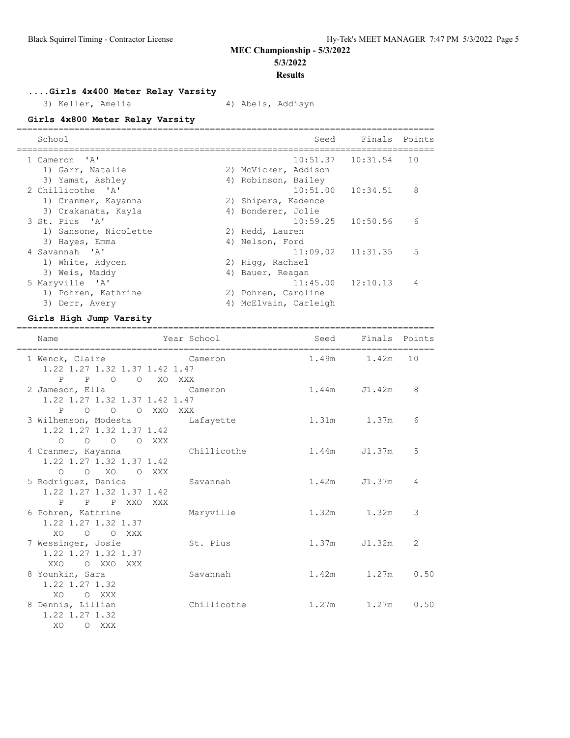# **Results**

**....Girls 4x400 Meter Relay Varsity**

3) Keller, Amelia (4) Abels, Addisyn

**Girls 4x800 Meter Relay Varsity**

| School                |    | Seed                  | Finals Points         |    |
|-----------------------|----|-----------------------|-----------------------|----|
| 1 Cameron 'A'         |    |                       | $10:51.37$ $10:31.54$ | 10 |
| 1) Garr, Natalie      |    | 2) McVicker, Addison  |                       |    |
| 3) Yamat, Ashley      | 4) | Robinson, Bailey      |                       |    |
| 2 Chillicothe 'A'     |    | $10:51.00$ $10:34.51$ |                       | 8  |
| 1) Cranmer, Kayanna   |    | 2) Shipers, Kadence   |                       |    |
| 3) Crakanata, Kayla   | 4) | Bonderer, Jolie       |                       |    |
| 3 St. Pius 'A'        |    |                       | $10:59.25$ $10:50.56$ | 6  |
| 1) Sansone, Nicolette | 2) | Redd, Lauren          |                       |    |
| 3) Hayes, Emma        | 4) | Nelson, Ford          |                       |    |
| 4 Savannah 'A'        |    | $11:09.02$ $11:31.35$ |                       | 5  |
| 1) White, Adycen      |    | 2) Rigg, Rachael      |                       |    |
| 3) Weis, Maddy        | 4) | Bauer, Reagan         |                       |    |
| 5 Maryville 'A'       |    |                       | $11:45.00$ $12:10.13$ | 4  |
| 1) Pohren, Kathrine   |    | 2) Pohren, Caroline   |                       |    |
| 3) Derr, Avery        | 4) | McElvain, Carleigh    |                       |    |
|                       |    |                       |                       |    |

## **Girls High Jump Varsity**

| Name                                                                          | ==========================<br>Year School | ---------------------------------<br>Seed | Finals Points    |      |
|-------------------------------------------------------------------------------|-------------------------------------------|-------------------------------------------|------------------|------|
| 1 Wenck, Claire Cameron<br>1.22 1.27 1.32 1.37 1.42 1.47                      |                                           |                                           | 1.49m 1.42m      | 10   |
| P P O O XO XXX<br>2 Jameson, Ella Cameron<br>1.22 1.27 1.32 1.37 1.42 1.47    |                                           |                                           | $1.44m$ $J1.42m$ | 8    |
| P O O O XXO XXX<br>3 Wilhemson, Modesta bafayette<br>1.22 1.27 1.32 1.37 1.42 |                                           |                                           | 1.31m 1.37m      | 6    |
| O O O O XXX<br>4 Cranmer, Kayanna<br>1.22 1.27 1.32 1.37 1.42                 | Chillicothe                               |                                           | 1.44m J1.37m     | 5    |
| O O XO O XXX<br>5 Rodriquez, Danica<br>1.22 1.27 1.32 1.37 1.42               | Savannah                                  |                                           | $1.42m$ $J1.37m$ | 4    |
| P P P XXO XXX<br>6 Pohren, Kathrine<br>1.22 1.27 1.32 1.37                    | Maryville                                 |                                           | $1.32m$ $1.32m$  | 3    |
| XO O O XXX<br>7 Wessinger, Josie<br>1.22 1.27 1.32 1.37                       | St. Pius                                  | 1.37m                                     | J1.32m           | 2    |
| XXO OXXOXXX<br>8 Younkin, Sara<br>1.22 1.27 1.32                              | Savannah                                  |                                           | 1.42m 1.27m 0.50 |      |
| O XXX<br>XO.<br>8 Dennis, Lillian<br>1.22 1.27 1.32<br>XO.<br>O XXX           | Chillicothe                               | 1.27m                                     | 1.27m            | 0.50 |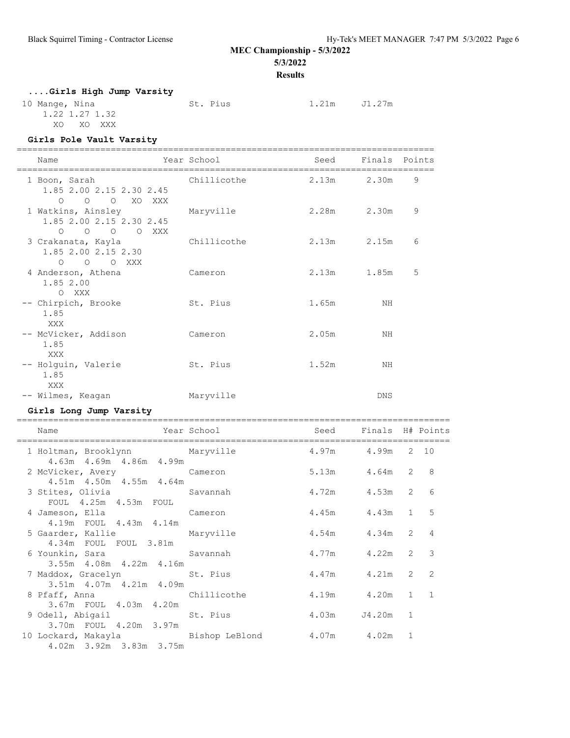# **MEC Championship - 5/3/2022**

**5/3/2022**

## **Results**

# **....Girls High Jump Varsity**

| 10 Mange, Nina | St. Pius | 1.21m | J1.27m |
|----------------|----------|-------|--------|
| 1.22 1.27 1.32 |          |       |        |
| XO<br>XO XXX   |          |       |        |

#### **Girls Pole Vault Varsity**

| Name                                                                    | Year School | Seed  | Finals Points |   |
|-------------------------------------------------------------------------|-------------|-------|---------------|---|
| 1 Boon, Sarah<br>1.85 2.00 2.15 2.30 2.45<br>O O O XO XXX               | Chillicothe |       | 2.13m 2.30m   | 9 |
| 1 Watkins, Ainsley<br>1.85 2.00 2.15 2.30 2.45<br>$O$ $O$ $O$ $O$ $XXX$ | Maryville   |       | 2.28m 2.30m   | 9 |
| 3 Crakanata, Kayla<br>1.85 2.00 2.15 2.30<br>O O O XXX                  | Chillicothe | 2.13m | 2.15m         | 6 |
| 4 Anderson, Athena<br>1.85 2.00<br>O XXX                                | Cameron     | 2.13m | 1.85m         | 5 |
| -- Chirpich, Brooke<br>1.85<br>XXX                                      | St. Pius    | 1.65m | NH            |   |
| -- McVicker, Addison<br>1.85<br>XXX                                     | Cameron     | 2.05m | NΗ            |   |
| -- Holguin, Valerie<br>1.85<br>XXX                                      | St. Pius    | 1.52m | ΝH            |   |
| -- Wilmes, Keagan                                                       | Maryville   |       | <b>DNS</b>    |   |

## **Girls Long Jump Varsity**

| Year School and Seed Finals H# Points<br>Name                                                         |                    |                     |  |   |
|-------------------------------------------------------------------------------------------------------|--------------------|---------------------|--|---|
| 1 Holtman, Brooklynn Maryville 1.97m 4.99m 2 10<br>4.63m  4.69m  4.86m  4.99m                         |                    |                     |  |   |
| 2 McVicker, Avery Cameron<br>4.51m  4.50m  4.55m  4.64m                                               |                    | $5.13m$ $4.64m$ 2 8 |  |   |
| 3 Stites, Olivia               Savannah               4.72m     4.53m   2<br>FOUL 4.25m 4.53m FOUL    |                    |                     |  | 6 |
| 4 Jameson, Ella Cameron<br>4.19m FOUL 4.43m 4.14m                                                     | 4.45m 4.43m 1 5    |                     |  |   |
| 5 Gaarder, Kallie Maryville<br>4.34m FOUL FOUL 3.81m                                                  | 4.54m  4.34m  2  4 |                     |  |   |
| 6 Younkin, Sara Savannah<br>3.55m 4.08m 4.22m 4.16m                                                   |                    | 4.77m 4.22m 2 3     |  |   |
| 7 Maddox, Gracelyn St. Pius 4.47m 4.21m 2 2<br>3.51m 4.07m 4.21m 4.09m                                |                    |                     |  |   |
| 8 Pfaff, Anna (chillicothe and 4.19m and 1 1                                                          |                    |                     |  |   |
| 9 Odell, Abigail 6 St. Pius 36 A. 03m 34.20m 1<br>3.70m FOUL 4.20m 3.97m                              |                    |                     |  |   |
| 10 Lockard, Makayla             Bishop LeBlond         4.07m     4.02m   1<br>4.02m 3.92m 3.83m 3.75m |                    |                     |  |   |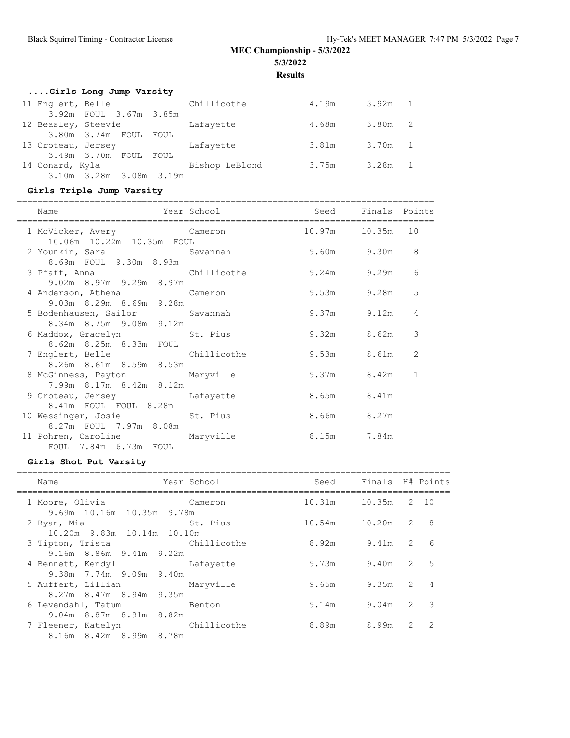**Results**

|                 | Girls Long Jump Varsity |  |                |       |           |  |
|-----------------|-------------------------|--|----------------|-------|-----------|--|
|                 | 11 Englert, Belle       |  | Chillicothe    | 4.19m | $3.92m$ 1 |  |
|                 | 3.92m FOUL 3.67m 3.85m  |  |                |       |           |  |
|                 | 12 Beasley, Steevie     |  | Lafayette      | 4.68m | 3.80m 2   |  |
|                 | 3.80m 3.74m FOUL FOUL   |  |                |       |           |  |
|                 | 13 Croteau, Jersey      |  | Lafayette      | 3.81m | 3.70m 1   |  |
|                 | 3.49m 3.70m FOUL FOUL   |  |                |       |           |  |
| 14 Conard, Kyla |                         |  | Bishop LeBlond | 3.75m | 3.28m 1   |  |
|                 | 3.10m 3.28m 3.08m 3.19m |  |                |       |           |  |

# **Girls Triple Jump Varsity**

| Name                                                                                                      | Year School and Seed Finals Points |                   |                |
|-----------------------------------------------------------------------------------------------------------|------------------------------------|-------------------|----------------|
| 1 McVicker, Avery Cameron 10.97m 10.35m 10<br>10.06m  10.22m  10.35m  FOUL                                |                                    |                   |                |
| 2 Younkin, Sara               Savannah               9.60m       9.30m     8<br>8.69m  FOUL  9.30m  8.93m |                                    |                   |                |
| 3 Pfaff, Anna Chillicothe<br>9.02m 8.97m 9.29m 8.97m                                                      |                                    | $9.24m$ $9.29m$ 6 |                |
| 4 Anderson, Athena Cameron<br>9.03m 8.29m 8.69m 9.28m                                                     |                                    | 9.53m 9.28m       | 5              |
| 5 Bodenhausen, Sailor Savannah<br>8.34m 8.75m 9.08m 9.12m                                                 |                                    | $9.37m$ $9.12m$   | $\overline{4}$ |
| 6 Maddox, Gracelyn St. Pius<br>8.62m 8.25m 8.33m FOUL                                                     |                                    | 9.32m 8.62m       | 3              |
| 7 Englert, Belle Chillicothe<br>8.26m 8.61m 8.59m 8.53m                                                   |                                    | 9.53m 8.61m       | 2              |
| 8 McGinness, Payton Maryville<br>7.99m 8.17m 8.42m 8.12m                                                  |                                    | 9.37m 8.42m 1     |                |
| 9 Croteau, Jersey Cafayette<br>8.41m FOUL FOUL 8.28m                                                      |                                    | 8.65m 8.41m       |                |
| 10 Wessinger, Josie St. Pius<br>8.27m  FOUL  7.97m  8.08m                                                 |                                    | 8.66m 8.27m       |                |
| 11 Pohren, Caroline Maryville<br>FOUL 7.84m 6.73m FOUL                                                    | 8.15m 7.84m                        |                   |                |

#### **Girls Shot Put Varsity**

| Name<br>______________                                     | Year School | Seed                  | Finals H# Points |               |                |
|------------------------------------------------------------|-------------|-----------------------|------------------|---------------|----------------|
| 1 Moore, Olivia<br>9.69m 10.16m 10.35m 9.78m               | Cameron     | 10.31m  10.35m  2  10 |                  |               |                |
| 2 Ryan, Mia<br>10.20m 9.83m 10.14m 10.10m                  | St. Pius    | 10.54m   10.20m   2   |                  |               | 8              |
| Chillicothe<br>3 Tipton, Trista<br>9.16m 8.86m 9.41m 9.22m |             | 8.92m                 | 9.41m            | 2             | 6              |
| 4 Bennett, Kendyl                                          | Lafayette   | 9.73m                 | 9.40m            | 2             | 5              |
| 9.38m 7.74m 9.09m 9.40m<br>5 Auffert, Lillian Maryville    |             | 9.65m                 | 9.35m            | 2             | $\overline{4}$ |
| 8.27m 8.47m 8.94m 9.35m<br>6 Levendahl, Tatum benton       |             | 9.14m                 | 9.04m            | 2             | 3              |
| 9.04m 8.87m 8.91m 8.82m<br>7 Fleener, Katelyn Chillicothe  |             | 8.89m                 | 8.99m            | $\mathcal{L}$ | $\overline{2}$ |
| 8.16m 8.42m 8.99m 8.78m                                    |             |                       |                  |               |                |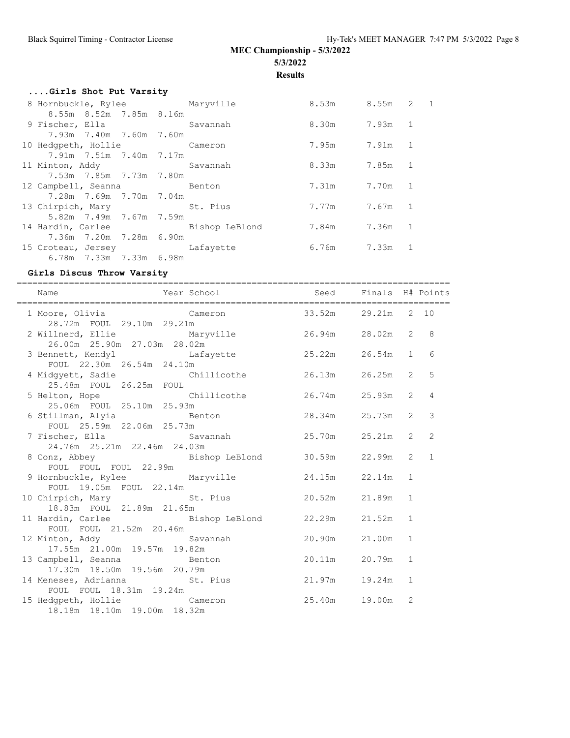**Results**

| Girls Shot Put Varsity           |  |                 |  |  |
|----------------------------------|--|-----------------|--|--|
| 8 Hornbuckle, Rylee Maryville    |  | 8.53m 8.55m 2 1 |  |  |
| 8.55m 8.52m 7.85m 8.16m          |  |                 |  |  |
| 9 Fischer, Ella Savannah         |  | 8.30m 7.93m 1   |  |  |
| 7.93m 7.40m 7.60m 7.60m          |  |                 |  |  |
| 10 Hedgpeth, Hollie Cameron      |  | 7.95m 7.91m 1   |  |  |
| 7.91m 7.51m 7.40m 7.17m          |  |                 |  |  |
| 11 Minton, Addy Savannah         |  | 8.33m 7.85m 1   |  |  |
| 7.53m 7.85m 7.73m 7.80m          |  |                 |  |  |
| 12 Campbell, Seanna Benton       |  | 7.31m 7.70m 1   |  |  |
| 7.28m 7.69m 7.70m 7.04m          |  |                 |  |  |
| 13 Chirpich, Mary St. Pius       |  | 7.77m 7.67m 1   |  |  |
| 5.82m 7.49m 7.67m 7.59m          |  |                 |  |  |
| 14 Hardin, Carlee Bishop LeBlond |  | 7.84m 7.36m 1   |  |  |
| 7.36m 7.20m 7.28m 6.90m          |  |                 |  |  |
| 15 Croteau, Jersey Lafayette     |  | 6.76m 7.33m 1   |  |  |
| 6.78m 7.33m 7.33m 6.98m          |  |                 |  |  |

## **Girls Discus Throw Varsity**

| Name                                                                                                | Year School and Seed Finals H# Points |               |                |                |
|-----------------------------------------------------------------------------------------------------|---------------------------------------|---------------|----------------|----------------|
|                                                                                                     |                                       |               |                |                |
| 2 Willnerd, Ellie Maryville 26.94m 28.02m<br>26.00m 25.90m 27.03m 28.02m                            |                                       |               | $\overline{2}$ | 8              |
| 3 Bennett, Kendyl Cafayette 25.22m 26.54m<br>FOUL 22.30m 26.54m 24.10m                              |                                       |               | 1              | 6              |
| 4 Midgyett, Sadie Chillicothe 26.13m 26.25m<br>25.48m FOUL 26.25m FOUL                              |                                       |               | 2              | .5             |
|                                                                                                     |                                       |               | $\overline{2}$ | $\overline{4}$ |
| 6 Stillman, Alyia and Benton<br>FOUL 25.59m 22.06m 25.73m                                           |                                       | 28.34m 25.73m | $\overline{2}$ | $\mathcal{E}$  |
| 7 Fischer, Ella     Savannah     25.70m   25.21m<br>24.76m 25.21m 22.46m 24.03m                     |                                       |               | $\overline{2}$ | 2              |
| 8 Conz, Abbey Bishop LeBlond 30.59m 22.99m<br>FOUL FOUL FOUL 22.99m                                 |                                       |               | $\overline{2}$ | $\mathbf{1}$   |
| 9 Hornbuckle, Rylee Maryville<br>FOUL 19.05m FOUL 22.14m                                            |                                       | 24.15m 22.14m | $\mathbf{1}$   |                |
| 10 Chirpich, Mary St. Pius 20.52m 21.89m<br>18.83m FOUL 21.89m 21.65m                               |                                       |               | $\mathbf{1}$   |                |
| 11 Hardin, Carlee (Bishop LeBlond 22.29m 21.52m                                                     |                                       |               | $\mathbf{1}$   |                |
| FOUL FOUL 21.52m 20.46m<br>12 Minton, Addy Savannah 20.90m 21.00m<br>17.55m  21.00m  19.57m  19.82m |                                       |               | $\mathbf{1}$   |                |
| 13 Campbell, Seanna and Benton                                                                      |                                       | 20.11m 20.79m | $\mathbf{1}$   |                |
| 17.30m  18.50m  19.56m  20.79m<br>14 Meneses, Adrianna en St. Pius                                  | 21.97m 19.24m                         |               | $\mathbf{1}$   |                |
| FOUL FOUL 18.31m 19.24m<br>15 Hedgpeth, Hollie Cameron<br>18.18m 18.10m 19.00m 18.32m               | 25.40m  19.00m                        |               | 2              |                |
|                                                                                                     |                                       |               |                |                |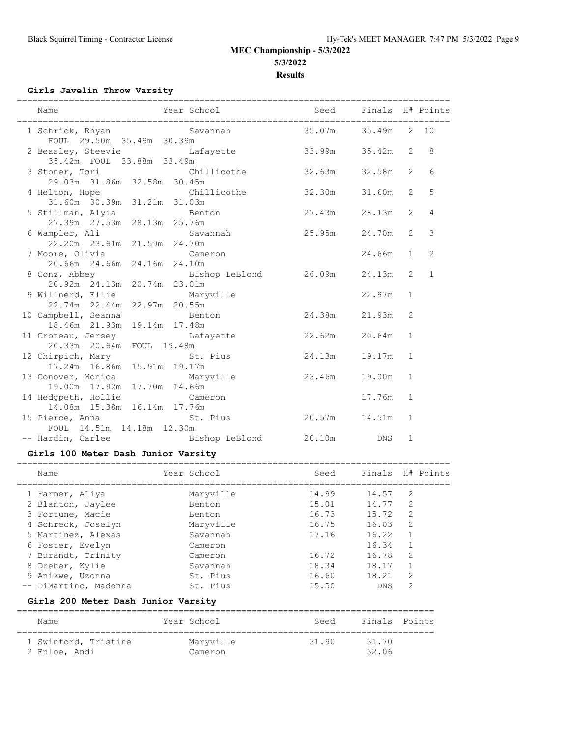## **Girls Javelin Throw Varsity**

| Name                                                           | Year School <a> Seed Finals H# Points</a>                 |        | ========== |                |                |
|----------------------------------------------------------------|-----------------------------------------------------------|--------|------------|----------------|----------------|
| FOUL 29.50m 35.49m 30.39m                                      | 1 Schrick, Rhyan Savannah                                 | 35.07m | 35.49m     |                | 2, 10          |
|                                                                | 2 Beasley, Steevie Lafayette<br>35.42m FOUL 33.88m 33.49m | 33.99m | 35.42m     | $\overline{2}$ | 8              |
| 3 Stoner, Tori Chillicothe<br>29.03m 31.86m 32.58m 30.45m      |                                                           | 32.63m | 32.58m     | $\overline{2}$ | 6              |
| 4 Helton, Hope<br>31.60m 30.39m 31.21m 31.03m                  | <b>Chillicothe</b>                                        | 32.30m | 31.60m     | $\overline{2}$ | 5              |
| 5 Stillman, Alyia<br>27.39m 27.53m 28.13m 25.76m               | Benton                                                    | 27.43m | 28.13m     | $\overline{2}$ | $\overline{4}$ |
| 6 Wampler, Ali<br>22.20m  23.61m  21.59m  24.70m               | Savannah 25.95m                                           |        | 24.70m     | $\overline{2}$ | 3              |
| 7 Moore, Olivia Cameron<br>20.66m 24.66m 24.16m 24.10m         |                                                           |        | 24.66m     | $\mathbf{1}$   | 2              |
| 20.92m 24.13m 20.74m 23.01m                                    |                                                           |        | 24.13m     | 2              | $\mathbf{1}$   |
| 9 Willnerd, Ellie<br>22.74m  22.44m  22.97m  20.55m            | Maryville                                                 |        | 22.97m     | $\mathbf{1}$   |                |
| 10 Campbell, Seanna<br>18.46m 21.93m 19.14m 17.48m             | Benton                                                    | 24.38m | 21.93m     | 2              |                |
| 11 Croteau, Jersey Changette<br>20.33m  20.64m  FOUL  19.48m   |                                                           | 22.62m | 20.64m     | $\mathbf{1}$   |                |
| 12 Chirpich, Mary St. Pius<br>17.24m 16.86m 15.91m 19.17m      |                                                           | 24.13m | 19.17m     | $\mathbf{1}$   |                |
| 13 Conover, Monica Maryville<br>19.00m  17.92m  17.70m  14.66m |                                                           | 23.46m | 19.00m     | $\mathbf{1}$   |                |
| 14 Hedgpeth, Hollie<br>14.08m  15.38m  16.14m  17.76m          | Cameron                                                   |        | 17.76m     | $\mathbf{1}$   |                |
| 15 Pierce, Anna<br>FOUL 14.51m 14.18m 12.30m                   | St. Pius                                                  | 20.57m | 14.51m     | $\mathbf{1}$   |                |
|                                                                | -- Hardin, Carlee Bishop LeBlond                          | 20.10m | <b>DNS</b> | $\mathbf{1}$   |                |

## **Girls 100 Meter Dash Junior Varsity**

| Name                                                                                                                                                              | Year School                                                                              | Seed                                                        | Finals H# Points                                                     |                                                    |  |
|-------------------------------------------------------------------------------------------------------------------------------------------------------------------|------------------------------------------------------------------------------------------|-------------------------------------------------------------|----------------------------------------------------------------------|----------------------------------------------------|--|
| 1 Farmer, Aliya<br>2 Blanton, Jaylee<br>3 Fortune, Macie<br>4 Schreck, Joselyn<br>5 Martinez, Alexas<br>6 Foster, Evelyn<br>7 Burandt, Trinity<br>8 Dreher, Kylie | Maryville<br>Benton<br>Benton<br>Maryville<br>Savannah<br>Cameron<br>Cameron<br>Savannah | 14.99<br>15.01<br>16.73<br>16.75<br>17.16<br>16.72<br>18.34 | 14.57<br>14.77<br>15.72<br>16.03<br>16.22<br>16.34<br>16.78<br>18.17 | 2<br>2<br>2<br>$\mathcal{L}$<br>1<br>$\mathcal{L}$ |  |
| 9 Anikwe, Uzonna<br>-- DiMartino, Madonna                                                                                                                         | St. Pius<br>St. Pius                                                                     | 16.60<br>15.50                                              | 18.21<br><b>DNS</b>                                                  | $\mathcal{D}$<br>2                                 |  |

# **Girls 200 Meter Dash Junior Varsity**

| Name                 | Year School | Seed  | Finals Points |  |
|----------------------|-------------|-------|---------------|--|
| 1 Swinford, Tristine | Maryville   | 31.90 | 31.70         |  |
| 2 Enloe, Andi        | Cameron     |       | 32.06         |  |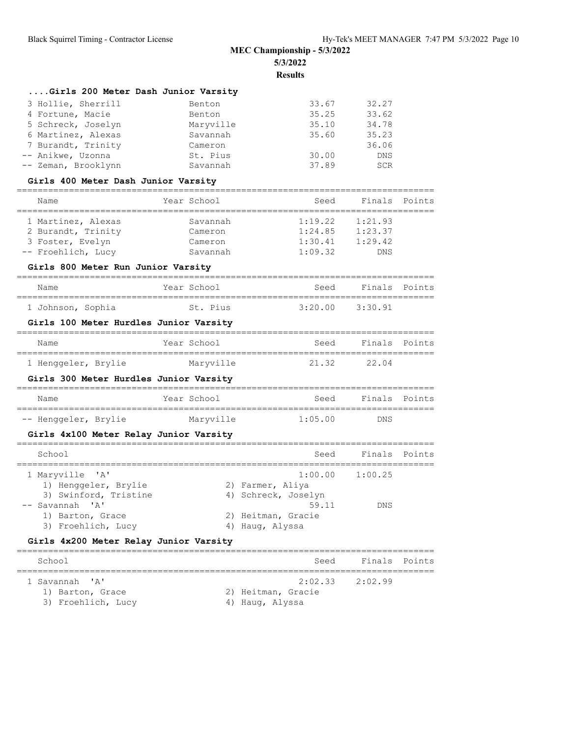| Girls 200 Meter Dash Junior Varsity |           |       |            |
|-------------------------------------|-----------|-------|------------|
| 3 Hollie, Sherrill                  | Benton    | 33.67 | 32.27      |
| 4 Fortune, Macie                    | Benton    | 35.25 | 33.62      |
| 5 Schreck, Joselyn                  | Maryville | 35.10 | 34.78      |
| 6 Martinez, Alexas                  | Savannah  | 35.60 | 35.23      |
| 7 Burandt, Trinity                  | Cameron   |       | 36.06      |
| -- Anikwe, Uzonna                   | St. Pius  | 30.00 | <b>DNS</b> |
| -- Zeman, Brooklynn                 | Savannah  | 37.89 | SCR        |

#### **Girls 400 Meter Dash Junior Varsity**

| Name               | Year School | Seed    | Finals Points |  |
|--------------------|-------------|---------|---------------|--|
| 1 Martinez, Alexas | Savannah    | 1:19.22 | 1:21.93       |  |
| 2 Burandt, Trinity | Cameron     | 1:24.85 | 1:23.37       |  |
| 3 Foster, Evelyn   | Cameron     | 1:30.41 | 1:29.42       |  |
| -- Froehlich, Lucy | Savannah    | 1:09.32 | <b>DNS</b>    |  |

#### **Girls 800 Meter Run Junior Varsity**

#### ================================================================================ Name Year School Seed Finals Points ================================================================================ 1 Johnson, Sophia St. Pius 3:20.00 3:30.91

## **Girls 100 Meter Hurdles Junior Varsity**

| Name |                     | Year School | Seed  | Finals Points |  |
|------|---------------------|-------------|-------|---------------|--|
|      | 1 Henggeler, Brylie | Maryville   | 21.32 | 22.04         |  |

#### **Girls 300 Meter Hurdles Junior Varsity**

| Name                 | Year School | Seed    | Finals Points |
|----------------------|-------------|---------|---------------|
|                      |             |         |               |
| -- Henggeler, Brylie | Maryville   | 1:05.00 | DNS           |

#### **Girls 4x100 Meter Relay Junior Varsity**

| School                                                                                                                        | Seed                                                                                                             | Finals Points |  |
|-------------------------------------------------------------------------------------------------------------------------------|------------------------------------------------------------------------------------------------------------------|---------------|--|
| 1 Maryville 'A'<br>1) Henggeler, Brylie<br>3) Swinford, Tristine<br>-- Savannah 'A'<br>1) Barton, Grace<br>3) Froehlich, Lucy | $1:00.00$ $1:00.25$<br>2) Farmer, Aliya<br>4) Schreck, Joselyn<br>59.11<br>2) Heitman, Gracie<br>4) Haug, Alyssa | <b>DNS</b>    |  |

#### **Girls 4x200 Meter Relay Junior Varsity**

| School                                                   | Seed                                  | Finals Points       |  |
|----------------------------------------------------------|---------------------------------------|---------------------|--|
| 1 Savannah 'A'<br>1) Barton, Grace<br>3) Froehlich, Lucy | 2) Heitman, Gracie<br>4) Hauq, Alyssa | $2:02.33$ $2:02.99$ |  |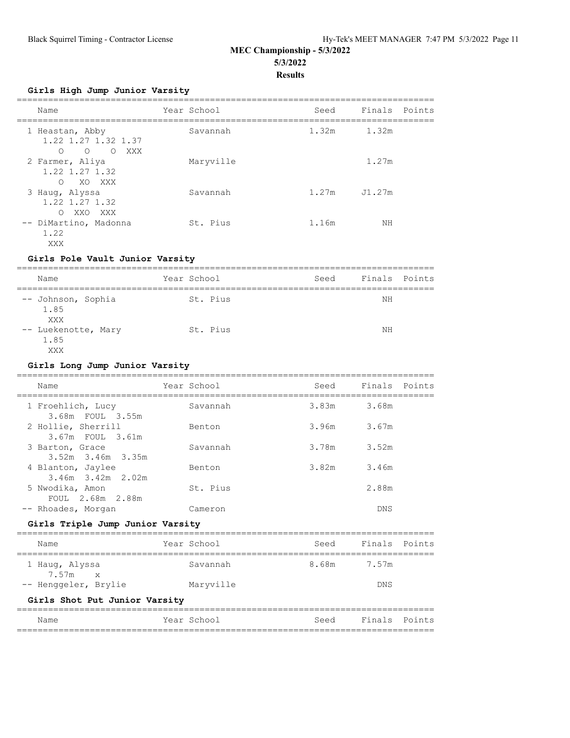**Girls High Jump Junior Varsity**

| Name                                                                             | Year School | Seed  | Finals Points |  |
|----------------------------------------------------------------------------------|-------------|-------|---------------|--|
| 1 Heastan, Abby<br>1.22 1.27 1.32 1.37<br>$\circ$<br>$\circ$<br>XXX<br>$\circ$ 0 | Savannah    | 1.32m | 1.32m         |  |
| 2 Farmer, Aliya<br>1.22 1.27 1.32<br>$\bigcap$<br>XO XXX                         | Maryville   |       | 1.27m         |  |
| 3 Haug, Alyssa<br>$1.22$ 1.27 1.32<br>$\bigcap$<br>XXO XXX                       | Savannah    | 1.27m | J1.27m        |  |
| -- DiMartino, Madonna<br>1.22<br>XXX                                             | St. Pius    | 1.16m | ΝH            |  |

#### **Girls Pole Vault Junior Varsity**

| Name                               | Year School | Seed | Finals Points |  |
|------------------------------------|-------------|------|---------------|--|
| -- Johnson, Sophia<br>1.85<br>XXX  | St. Pius    |      | ΝH            |  |
| -- Luekenotte, Mary<br>1.85<br>XXX | St. Pius    |      | ΝH            |  |

#### **Girls Long Jump Junior Varsity**

| Name                                   | Year School | Seed  | Finals      | Points |
|----------------------------------------|-------------|-------|-------------|--------|
| 1 Froehlich, Lucy<br>3.68m FOUL 3.55m  | Savannah    |       | 3.83m 3.68m |        |
| 2 Hollie, Sherrill<br>3.67m FOUL 3.61m | Benton      | 3.96m | 3.67m       |        |
| 3 Barton, Grace<br>3.52m 3.46m 3.35m   | Savannah    | 3.78m | 3.52m       |        |
| 4 Blanton, Jaylee<br>3.46m 3.42m 2.02m | Benton      | 3.82m | 3.46m       |        |
| 5 Nwodika, Amon<br>FOUL 2.68m 2.88m    | St. Pius    |       | 2.88m       |        |
| -- Rhoades, Morgan                     | Cameron     |       | DNS         |        |
| Girls Triple Jump Junior Varsity       |             |       |             |        |
| Name                                   | Year School | Seed  | Finals      | Points |
| 1 Haug, Alyssa<br>$7\,57m$ $\times$    | Savannah    | 8.68m | 7.57m       |        |

## **Girls Shot Put Junior Varsity**

7.57m x

| Name | Year School | Seed | Finals Points |  |
|------|-------------|------|---------------|--|
|      |             |      |               |  |

-- Henggeler, Brylie Maryville DNS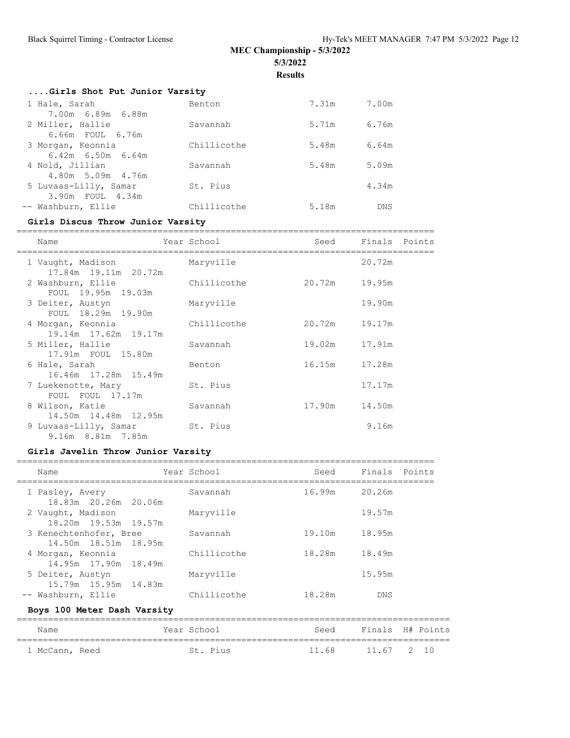**Results**

| Girls Shot Put Junior Varsity |             |       |            |
|-------------------------------|-------------|-------|------------|
| 1 Hale, Sarah                 | Benton      | 7.31m | 7.00m      |
| 7.00m 6.89m 6.88m             |             |       |            |
| 2 Miller, Hallie              | Savannah    | 5.71m | 6.76m      |
| 6.66m FOUL 6.76m              |             |       |            |
| 3 Morgan, Keonnia             | Chillicothe | 5.48m | 6.64m      |
| $6.42m$ $6.50m$ $6.64m$       |             |       |            |
| 4 Nold, Jillian               | Savannah    | 5.48m | 5.09m      |
| 4.80m 5.09m 4.76m             |             |       |            |
| 5 Luvaas-Lilly, Samar         | St. Pius    |       | 4.34m      |
| 3.90m FOUL 4.34m              |             |       |            |
| -- Washburn, Ellie            | Chillicothe | 5.18m | <b>DNS</b> |
|                               |             |       |            |

## **Girls Discus Throw Junior Varsity**

| Name                                        | Year School |               | Seed Finals Points |  |
|---------------------------------------------|-------------|---------------|--------------------|--|
| 1 Vaught, Madison<br>17.84m  19.11m  20.72m | Maryville   |               | 20.72m             |  |
| 2 Washburn, Ellie<br>FOUL 19.95m 19.03m     | Chillicothe | 20.72m 19.95m |                    |  |
| 3 Deiter, Austyn<br>FOUL 18.29m 19.90m      | Maryville   |               | 19.90m             |  |
| 4 Morgan, Keonnia<br>19.14m 17.62m 19.17m   | Chillicothe | 20.72m        | 19.17m             |  |
| 5 Miller, Hallie<br>17.91m FOUL 15.80m      | Savannah    | 19.02m 17.91m |                    |  |
| 6 Hale, Sarah<br>16.46m  17.28m  15.49m     | Benton      | 16.15m 17.28m |                    |  |
| 7 Luekenotte, Mary<br>FOUL FOUL 17.17m      | St. Pius    |               | 17.17m             |  |
| 8 Wilson, Katie<br>14.50m 14.48m 12.95m     | Savannah    | 17.90m 14.50m |                    |  |
| 9 Luvaas-Lilly, Samar<br>9.16m 8.81m 7.85m  | St. Pius    |               | 9.16m              |  |

# **Girls Javelin Throw Junior Varsity**

| Name                                           | Year School | Seed   | Finals Points |
|------------------------------------------------|-------------|--------|---------------|
| 1 Pasley, Avery<br>18.83m 20.26m 20.06m        | Savannah    | 16.99m | 20.26m        |
| 2 Vaught, Madison<br>18.20m 19.53m 19.57m      | Maryville   |        | 19.57m        |
| 3 Kenechtenhofer, Bree<br>14.50m 18.51m 18.95m | Savannah    | 19.10m | 18.95m        |
| 4 Morgan, Keonnia<br>14.95m 17.90m 18.49m      | Chillicothe | 18.28m | 18.49m        |
| 5 Deiter, Austyn<br>15.79m 15.95m 14.83m       | Maryville   |        | 15.95m        |
| -- Washburn, Ellie                             | Chillicothe | 18.28m | <b>DNS</b>    |

## **Boys 100 Meter Dash Varsity**

| Name           |  | Year School |          | Seed  |            | Finals H# Points |  |  |
|----------------|--|-------------|----------|-------|------------|------------------|--|--|
|                |  |             |          |       |            |                  |  |  |
| 1 McCann, Reed |  |             | St. Pius | 11 68 | 11.67 2 10 |                  |  |  |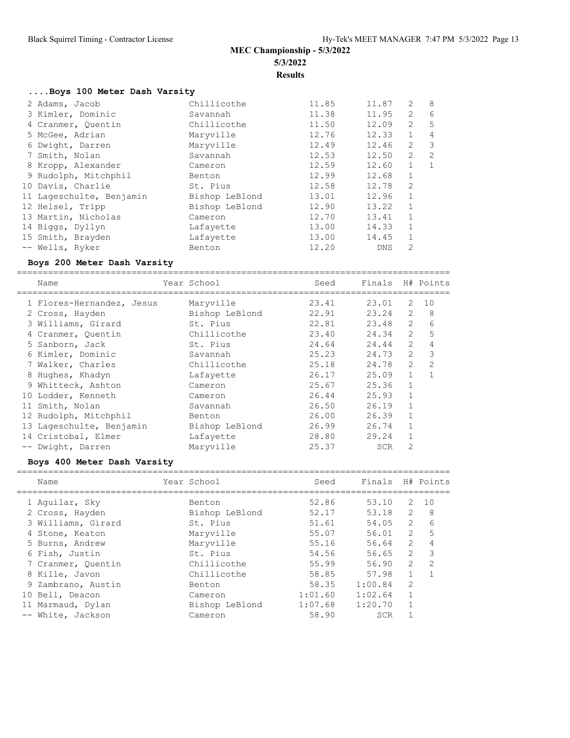# **....Boys 100 Meter Dash Varsity**

| 2 Adams, Jacob           | Chillicothe    | 11.85 | 11.87      | 2              | 8  |
|--------------------------|----------------|-------|------------|----------------|----|
| 3 Kimler, Dominic        | Savannah       | 11.38 | 11.95      | $\overline{2}$ | 6  |
| 4 Cranmer, Quentin       | Chillicothe    | 11.50 | 12.09      | 2              | 5  |
| 5 McGee, Adrian          | Maryville      | 12.76 | 12.33      | 1              | 4  |
| 6 Dwight, Darren         | Maryville      | 12.49 | 12.46      | $\overline{2}$ | 3  |
| 7 Smith, Nolan           | Savannah       | 12.53 | 12.50      | 2              | 2  |
| 8 Kropp, Alexander       | Cameron        | 12.59 | 12.60      | $\mathbf{1}$   | -1 |
| 9 Rudolph, Mitchphil     | Benton         | 12.99 | 12.68      | $\mathbf{1}$   |    |
| 10 Davis, Charlie        | St. Pius       | 12.58 | 12.78      | $\overline{2}$ |    |
| 11 Lageschulte, Benjamin | Bishop LeBlond | 13.01 | 12.96      | $\mathbf{1}$   |    |
| 12 Helsel, Tripp         | Bishop LeBlond | 12.90 | 13.22      | $\mathbf{1}$   |    |
| 13 Martin, Nicholas      | Cameron        | 12.70 | 13.41      | $\mathbf{1}$   |    |
| 14 Biggs, Dyllyn         | Lafayette      | 13.00 | 14.33      | $\mathbf{1}$   |    |
| 15 Smith, Brayden        | Lafayette      | 13.00 | 14.45      | 1              |    |
| -- Wells, Ryker          | Benton         | 12.20 | <b>DNS</b> | $\overline{2}$ |    |

#### **Boys 200 Meter Dash Varsity**

=================================================================================== Name The Year School Seed Finals H# Points

| 1 Flores-Hernandez, Jesus | Maryville      | 23.41 | 23.01      | 2              | 10           |
|---------------------------|----------------|-------|------------|----------------|--------------|
| 2 Cross, Hayden           | Bishop LeBlond | 22.91 | 23.24      | 2              | 8            |
| 3 Williams, Girard        | St. Pius       | 22.81 | 23.48      | $\overline{2}$ | 6            |
| 4 Cranmer, Quentin        | Chillicothe    | 23.40 | 24.34      | $\overline{2}$ | 5            |
| 5 Sanborn, Jack           | St. Pius       | 24.64 | 24.44      | $\overline{2}$ | 4            |
| 6 Kimler, Dominic         | Savannah       | 25.23 | 24.73      | $\overline{2}$ | 3            |
| 7 Walker, Charles         | Chillicothe    | 25.18 | 24.78      | $\overline{2}$ | 2            |
| 8 Hughes, Khadyn          | Lafayette      | 26.17 | 25.09      | $\mathbf{1}$   | $\mathbf{1}$ |
| 9 Whitteck, Ashton        | Cameron        | 25.67 | 25.36      | $\mathbf{1}$   |              |
| 10 Lodder, Kenneth        | Cameron        | 26.44 | 25.93      | $\mathbf{1}$   |              |
| 11 Smith, Nolan           | Savannah       | 26.50 | 26.19      | $\mathbf{1}$   |              |
| 12 Rudolph, Mitchphil     | Benton         | 26.00 | 26.39      | $\mathbf{1}$   |              |
| 13 Lageschulte, Benjamin  | Bishop LeBlond | 26.99 | 26.74      | $\mathbf{1}$   |              |
| 14 Cristobal, Elmer       | Lafayette      | 28.80 | 29.24      | $\mathbf{1}$   |              |
| -- Dwight, Darren         | Maryville      | 25.37 | <b>SCR</b> | $\overline{2}$ |              |

#### **Boys 400 Meter Dash Varsity**

| Name               | Year School    | Seed    | Finals     |                | H# Points     |
|--------------------|----------------|---------|------------|----------------|---------------|
| 1 Aquilar, Sky     | Benton         | 52.86   | 53.10      | 2              | 10            |
| 2 Cross, Hayden    | Bishop LeBlond | 52.17   | 53.18      | 2              | 8             |
| 3 Williams, Girard | St. Pius       | 51.61   | 54.05      | 2              | 6             |
| 4 Stone, Keaton    | Maryville      | 55.07   | 56.01      | $\mathcal{L}$  | 5             |
| 5 Burns, Andrew    | Marvville      | 55.16   | 56.64      | $\overline{2}$ | 4             |
| 6 Fish, Justin     | St. Pius       | 54.56   | 56.65      | $\overline{2}$ | 3             |
| 7 Cranmer, Quentin | Chillicothe    | 55.99   | 56.90      | $\mathcal{L}$  | $\mathcal{L}$ |
| 8 Kille, Javon     | Chillicothe    | 58.85   | 57.98      | $\mathbf{1}$   |               |
| 9 Zambrano, Austin | Benton         | 58.35   | 1:00.84    | $\mathfrak{D}$ |               |
| 10 Bell, Deacon    | Cameron        | 1:01.60 | 1:02.64    | $\mathbf{1}$   |               |
| 11 Marmaud, Dylan  | Bishop LeBlond | 1:07.68 | 1:20.70    |                |               |
| -- White, Jackson  | Cameron        | 58.90   | <b>SCR</b> |                |               |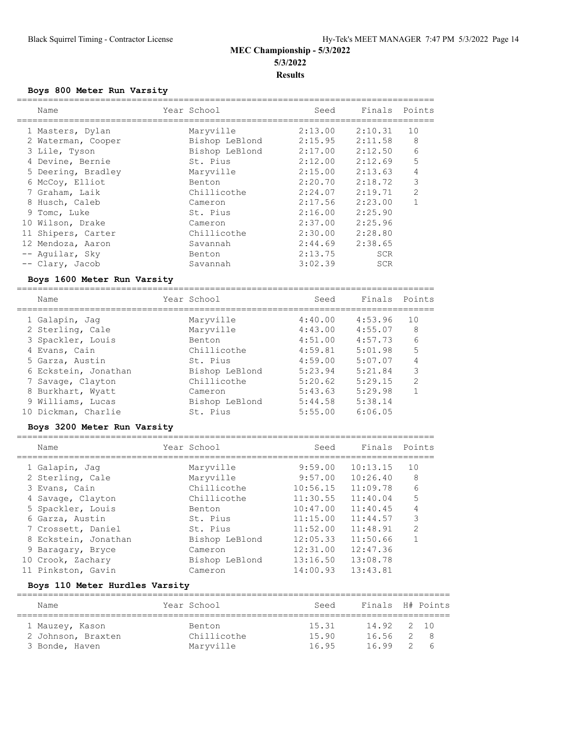## **Boys 800 Meter Run Varsity**

| Name               | Year School    | Seed    | Finals Points |                |
|--------------------|----------------|---------|---------------|----------------|
| 1 Masters, Dylan   | Maryville      | 2:13.00 | 2:10.31       | 10             |
| 2 Waterman, Cooper | Bishop LeBlond | 2:15.95 | 2:11.58       | 8              |
| 3 Lile, Tyson      | Bishop LeBlond | 2:17.00 | 2:12.50       | 6              |
| 4 Devine, Bernie   | St. Pius       | 2:12.00 | 2:12.69       | 5              |
| 5 Deering, Bradley | Maryville      | 2:15.00 | 2:13.63       | 4              |
| 6 McCoy, Elliot    | Benton         | 2:20.70 | 2:18.72       | 3              |
| 7 Graham, Laik     | Chillicothe    | 2:24.07 | 2:19.71       | $\overline{2}$ |
| 8 Husch, Caleb     | Cameron        | 2:17.56 | 2:23.00       |                |
| 9 Tomc, Luke       | St. Pius       | 2:16.00 | 2:25.90       |                |
| 10 Wilson, Drake   | Cameron        | 2:37.00 | 2:25.96       |                |
| 11 Shipers, Carter | Chillicothe    | 2:30.00 | 2:28.80       |                |
| 12 Mendoza, Aaron  | Savannah       | 2:44.69 | 2:38.65       |                |
| -- Aquilar, Sky    | Benton         | 2:13.75 | <b>SCR</b>    |                |
| -- Clary, Jacob    | Savannah       | 3:02.39 | <b>SCR</b>    |                |

## **Boys 1600 Meter Run Varsity**

| Name                 | Year School    | Seed    | Finals Points |                |
|----------------------|----------------|---------|---------------|----------------|
| 1 Galapin, Jaq       | Maryville      | 4:40.00 | 4:53.96       | 10             |
| 2 Sterling, Cale     | Maryville      | 4:43.00 | 4:55.07       | 8              |
| 3 Spackler, Louis    | Benton         | 4:51.00 | 4:57.73       | 6              |
| 4 Evans, Cain        | Chillicothe    | 4:59.81 | 5:01.98       | 5              |
| 5 Garza, Austin      | St. Pius       | 4:59.00 | 5:07.07       | 4              |
| 6 Eckstein, Jonathan | Bishop LeBlond | 5:23.94 | 5:21.84       | 3              |
| 7 Savage, Clayton    | Chillicothe    | 5:20.62 | 5:29.15       | $\mathfrak{D}$ |
| 8 Burkhart, Wyatt    | Cameron        | 5:43.63 | 5:29.98       | 1              |
| 9 Williams, Lucas    | Bishop LeBlond | 5:44.58 | 5:38.14       |                |
| 10 Dickman, Charlie  | St. Pius       | 5:55.00 | 6:06.05       |                |
|                      |                |         |               |                |

## **Boys 3200 Meter Run Varsity**

| Name                 | Year School    | Seed     | Finals   | Points         |
|----------------------|----------------|----------|----------|----------------|
| 1 Galapin, Jaq       | Maryville      | 9:59.00  | 10:13.15 | 10             |
| 2 Sterling, Cale     | Maryville      | 9:57.00  | 10:26.40 | 8              |
| 3 Evans, Cain        | Chillicothe    | 10:56.15 | 11:09.78 | 6              |
| 4 Savage, Clayton    | Chillicothe    | 11:30.55 | 11:40.04 | 5              |
| 5 Spackler, Louis    | Benton         | 10:47.00 | 11:40.45 |                |
| 6 Garza, Austin      | St. Pius       | 11:15.00 | 11:44.57 | 3              |
| 7 Crossett, Daniel   | St. Pius       | 11:52.00 | 11:48.91 | $\mathfrak{D}$ |
| 8 Eckstein, Jonathan | Bishop LeBlond | 12:05.33 | 11:50.66 |                |
| 9 Baragary, Bryce    | Cameron        | 12:31.00 | 12:47.36 |                |
| 10 Crook, Zachary    | Bishop LeBlond | 13:16.50 | 13:08.78 |                |
| 11 Pinkston, Gavin   | Cameron        | 14:00.93 | 13:43.81 |                |

#### **Boys 110 Meter Hurdles Varsity**

| Name               | Year School | Seed  | Finals H# Points |                |    |  |  |  |  |  |  |
|--------------------|-------------|-------|------------------|----------------|----|--|--|--|--|--|--|
| 1 Mauzey, Kason    | Benton      | 15.31 | 14.92 2 10       |                |    |  |  |  |  |  |  |
| 2 Johnson, Braxten | Chillicothe | 15.90 | 16.56            | 2              | -8 |  |  |  |  |  |  |
| 3 Bonde, Haven     | Maryville   | 16.95 | 1699             | $\overline{2}$ | -6 |  |  |  |  |  |  |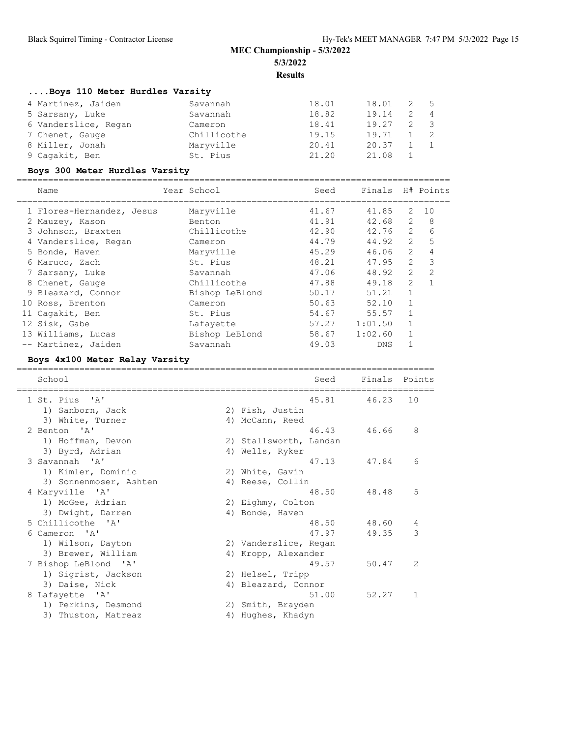# **....Boys 110 Meter Hurdles Varsity**

| 4 Martinez, Jaiden   | Savannah    | 18.01 | 18.01 | -2 | - 5            |
|----------------------|-------------|-------|-------|----|----------------|
| 5 Sarsany, Luke      | Savannah    | 18.82 | 19.14 |    | $\sim$ 4       |
| 6 Vanderslice, Regan | Cameron     | 18.41 | 19.27 |    | $\mathbf{3}$   |
| 7 Chenet, Gauge      | Chillicothe | 19.15 | 19.71 |    | $\overline{2}$ |
| 8 Miller, Jonah      | Maryville   | 20.41 | 20.37 |    |                |
| 9 Cagakit, Ben       | St. Pius    | 21.20 | 21.08 |    |                |

# **Boys 300 Meter Hurdles Varsity**

| Name                      | Year School    | Seed  |         |            |                | Finals H# Points |
|---------------------------|----------------|-------|---------|------------|----------------|------------------|
| 1 Flores-Hernandez, Jesus | Maryville      | 41.67 |         | 41.85      | 2              | 10               |
| 2 Mauzey, Kason           | Benton         | 41.91 |         | 42.68      | $\mathbf{2}$   | 8                |
| 3 Johnson, Braxten        | Chillicothe    | 42.90 |         | 42.76      | 2              | 6                |
| 4 Vanderslice, Regan      | Cameron        | 44.79 |         | 44.92      | $\overline{2}$ | 5                |
| 5 Bonde, Haven            | Maryville      | 45.29 |         | 46.06      | $\overline{2}$ | $\overline{4}$   |
| 6 Maruco, Zach            | St. Pius       | 48.21 |         | 47.95      | $\overline{2}$ | 3                |
| 7 Sarsany, Luke           | Savannah       | 47.06 |         | 48.92      | $\overline{2}$ | $\overline{2}$   |
| 8 Chenet, Gauge           | Chillicothe    | 47.88 |         | 49.18      | $\overline{2}$ | 1                |
| 9 Bleazard, Connor        | Bishop LeBlond | 50.17 |         | 51.21      | $\mathbf{1}$   |                  |
| 10 Ross, Brenton          | Cameron        | 50.63 |         | 52.10      | $\mathbf{1}$   |                  |
| 11 Cagakit, Ben           | St. Pius       | 54.67 |         | 55.57      | $\mathbf{1}$   |                  |
| 12 Sisk, Gabe             | Lafayette      | 57.27 | 1:01.50 |            | $\mathbf{1}$   |                  |
| 13 Williams, Lucas        | Bishop LeBlond | 58.67 | 1:02.60 |            |                |                  |
| -- Martinez, Jaiden       | Savannah       | 49.03 |         | <b>DNS</b> |                |                  |

## **Boys 4x100 Meter Relay Varsity**

| School                 |    |                        | Seed        | Finals Points |                |
|------------------------|----|------------------------|-------------|---------------|----------------|
| 1 St. Pius 'A'         |    |                        | 45.81 46.23 |               | 10             |
| 1) Sanborn, Jack       |    | 2) Fish, Justin        |             |               |                |
| 3) White, Turner       |    | 4) McCann, Reed        |             |               |                |
| 2 Benton 'A'           |    |                        | 46.43       | 46.66         | 8              |
| 1) Hoffman, Devon      |    | 2) Stallsworth, Landan |             |               |                |
| 3) Byrd, Adrian        |    | 4) Wells, Ryker        |             |               |                |
| 3 Savannah 'A'         |    |                        | 47.13       | 47.84         | 6              |
| 1) Kimler, Dominic     |    | 2) White, Gavin        |             |               |                |
| 3) Sonnenmoser, Ashten |    | 4) Reese, Collin       |             |               |                |
| 4 Maryville 'A'        |    |                        | 48.50       | 48.48         | 5              |
| 1) McGee, Adrian       |    | 2) Eighmy, Colton      |             |               |                |
| 3) Dwight, Darren      |    | 4) Bonde, Haven        |             |               |                |
| 5 Chillicothe 'A'      |    |                        | 48.50       | 48.60         | 4              |
| 6 Cameron 'A'          |    |                        | 47.97       | 49.35         | 3              |
| 1) Wilson, Dayton      |    | 2) Vanderslice, Regan  |             |               |                |
| 3) Brewer, William     |    | 4) Kropp, Alexander    |             |               |                |
| 7 Bishop LeBlond 'A'   |    |                        | 49.57       | 50.47         | $\overline{2}$ |
| 1) Sigrist, Jackson    |    | 2) Helsel, Tripp       |             |               |                |
| 3) Daise, Nick         | 4) | Bleazard, Connor       |             |               |                |
| 8 Lafayette 'A'        |    |                        | 51.00       | 52.27         | $\mathbf{1}$   |
| 1) Perkins, Desmond    |    | 2) Smith, Brayden      |             |               |                |
| 3) Thuston, Matreaz    | 4) | Hughes, Khadyn         |             |               |                |
|                        |    |                        |             |               |                |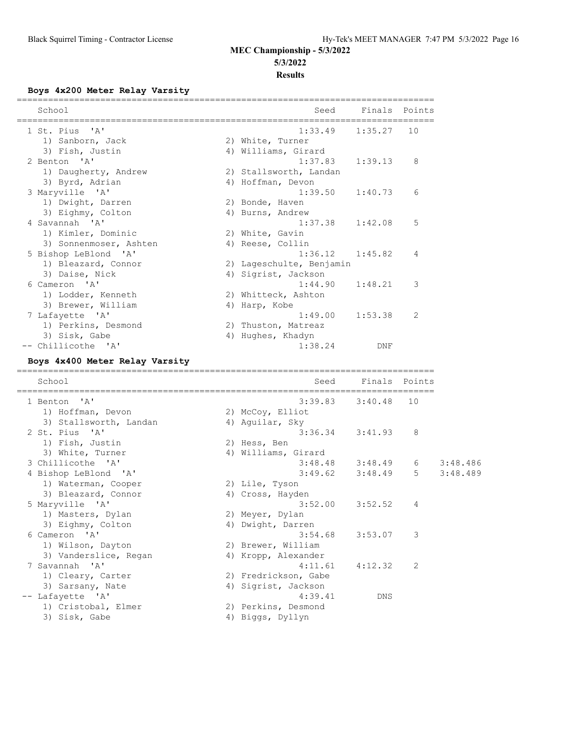## **Boys 4x200 Meter Relay Varsity**

| School                         | Seed                                      |               | Finals Points |          |
|--------------------------------|-------------------------------------------|---------------|---------------|----------|
| 1 St. Pius 'A'                 | ------------------------------<br>1:33.49 | 1:35.27       | 10            |          |
| 1) Sanborn, Jack               | 2) White, Turner                          |               |               |          |
| 3) Fish, Justin                | 4) Williams, Girard                       |               |               |          |
| 2 Benton 'A'                   | 1:37.83                                   | 1:39.13       | 8             |          |
| 1) Daugherty, Andrew           | 2) Stallsworth, Landan                    |               |               |          |
| 3) Byrd, Adrian                | 4) Hoffman, Devon                         |               |               |          |
| 3 Maryville 'A'                | 1:39.50                                   | 1:40.73       | 6             |          |
| 1) Dwight, Darren              | 2) Bonde, Haven                           |               |               |          |
| 3) Eighmy, Colton              | 4) Burns, Andrew                          |               |               |          |
| 4 Savannah 'A'                 | 1:37.38                                   | 1:42.08       | 5             |          |
| 1) Kimler, Dominic             | 2) White, Gavin                           |               |               |          |
| 3) Sonnenmoser, Ashten         | 4) Reese, Collin                          |               |               |          |
| 5 Bishop LeBlond 'A'           | 1:36.12                                   | 1:45.82       | 4             |          |
| 1) Bleazard, Connor            | 2) Lageschulte, Benjamin                  |               |               |          |
| 3) Daise, Nick                 | 4) Sigrist, Jackson                       |               |               |          |
| 6 Cameron 'A'                  | 1:44.90                                   | 1:48.21       | 3             |          |
| 1) Lodder, Kenneth             | 2) Whitteck, Ashton                       |               |               |          |
| 3) Brewer, William             | 4) Harp, Kobe                             |               |               |          |
| 7 Lafayette 'A'                | 1:49.00                                   | 1:53.38       | 2             |          |
| 1) Perkins, Desmond            | 2) Thuston, Matreaz                       |               |               |          |
| 3) Sisk, Gabe                  | 4) Hughes, Khadyn                         |               |               |          |
| -- Chillicothe 'A'             | 1:38.24                                   | DNF           |               |          |
| Boys 4x400 Meter Relay Varsity |                                           |               |               |          |
| School                         | Seed                                      | Finals Points |               |          |
|                                |                                           |               |               |          |
| 1 Benton<br>'' A '             | 3:39.83                                   | 3:40.48       | 10            |          |
| 1) Hoffman, Devon              | 2) McCoy, Elliot                          |               |               |          |
| 3) Stallsworth, Landan         | 4) Aguilar, Sky                           |               |               |          |
| 2 St. Pius 'A'                 | 3:36.34                                   | 3:41.93       | 8             |          |
| 1) Fish, Justin                | 2) Hess, Ben                              |               |               |          |
| 3) White, Turner               | 4) Williams, Girard                       |               |               |          |
| 3 Chillicothe 'A'              | $3:48.48$ $3:48.49$                       |               | 6             | 3:48.486 |
| 4 Bishop LeBlond 'A'           | $3:49.62$ $3:48.49$                       |               | $5 -$         | 3:48.489 |
| 1) Waterman, Cooper            | 2) Lile, Tyson                            |               |               |          |
| 3) Bleazard, Connor            | 4) Cross, Hayden                          |               |               |          |
| 5 Maryville 'A'                | $3:52.00$ $3:52.52$                       |               | 4             |          |
| 1) Masters, Dylan              | 2) Meyer, Dylan                           |               |               |          |
| 3) Eighmy, Colton              | 4) Dwight, Darren                         |               |               |          |
| 6 Cameron 'A'                  | 3:54.68                                   | 3:53.07       | 3             |          |
| 1) Wilson, Dayton              | 2) Brewer, William                        |               |               |          |
| 3) Vanderslice, Regan          | 4) Kropp, Alexander                       |               |               |          |
| 7 Savannah 'A'                 | 4:11.61                                   | 4:12.32       | 2             |          |
| 1) Cleary, Carter              | 2) Fredrickson, Gabe                      |               |               |          |
| 3) Sarsany, Nate               | 4) Sigrist, Jackson                       |               |               |          |
| -- Lafayette 'A'               | 4:39.41                                   | DNS           |               |          |

1) Cristobal, Elmer (2) Perkins, Desmond 3) Sisk, Gabe 19 (4) Biggs, Dyllyn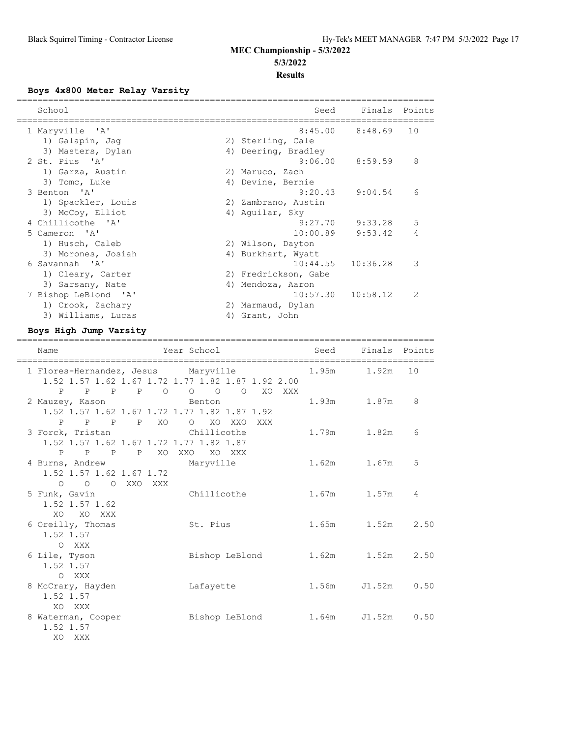## **Boys 4x800 Meter Relay Varsity**

| School               |    | Seed                 | Finals Points         |               |
|----------------------|----|----------------------|-----------------------|---------------|
| 1 Maryville 'A'      |    |                      | $8:45.00$ $8:48.69$   | 10            |
| 1) Galapin, Jaq      |    | 2) Sterling, Cale    |                       |               |
| 3) Masters, Dylan    |    | 4) Deering, Bradley  |                       |               |
| 2 St. Pius 'A'       |    | 9:06.00              | 8:59.59               | 8             |
| 1) Garza, Austin     |    | 2) Maruco, Zach      |                       |               |
| 3) Tomc, Luke        |    | 4) Devine, Bernie    |                       |               |
| 3 Benton 'A'         |    | 9:20.43              | 9:04.54               | 6             |
| 1) Spackler, Louis   |    | 2) Zambrano, Austin  |                       |               |
| 3) McCoy, Elliot     |    | 4) Aquilar, Sky      |                       |               |
| 4 Chillicothe 'A'    |    | 9:27.70              | 9:33.28               | 5             |
| 5 Cameron 'A'        |    | 10:00.89             | 9:53.42               | 4             |
| 1) Husch, Caleb      |    | 2) Wilson, Dayton    |                       |               |
| 3) Morones, Josiah   |    | 4) Burkhart, Wyatt   |                       |               |
| 6 Savannah 'A'       |    | 10:44.55             | 10:36.28              | 3             |
| 1) Cleary, Carter    |    | 2) Fredrickson, Gabe |                       |               |
| 3) Sarsany, Nate     | 4) | Mendoza, Aaron       |                       |               |
| 7 Bishop LeBlond 'A' |    |                      | $10:57.30$ $10:58.12$ | $\mathcal{P}$ |
| 1) Crook, Zachary    |    | 2) Marmaud, Dylan    |                       |               |
| 3) Williams, Lucas   |    | 4) Grant, John       |                       |               |

## **Boys High Jump Varsity**

| Name                                                                                                                                                        | Year School          |                        | Seed Finals Points |      |
|-------------------------------------------------------------------------------------------------------------------------------------------------------------|----------------------|------------------------|--------------------|------|
| 1 Flores-Hernandez, Jesus Maryville<br>1.52 1.57 1.62 1.67 1.72 1.77 1.82 1.87 1.92 2.00                                                                    |                      | $1.95m$ $1.92m$        |                    | 10   |
| P P P P 0 0 0 0<br>2 Mauzey, Kason<br><b>Example 19 Septiment Contract Contract Contract Contract Contract Contract Contract Contract Contract Contract</b> | XO XXX               | 1.93m 1.87m            |                    | 8    |
| 1.52 1.57 1.62 1.67 1.72 1.77 1.82 1.87 1.92<br>PPP XOOXOXXOXXX<br>P<br>3 Forck, Tristan Chillicothe                                                        |                      | 1.79m                  | 1.82m              | 6    |
| 1.52 1.57 1.62 1.67 1.72 1.77 1.82 1.87<br>P P P P XO XXO XO XXX                                                                                            |                      |                        |                    |      |
| 4 Burns, Andrew<br>1.52 1.57 1.62 1.67 1.72<br>$\bigcap$                                                                                                    | Maryville            | 1.62m                  | 1.67m              | 5    |
| O O XXO XXX<br>5 Funk, Gavin<br>1.52 1.57 1.62                                                                                                              | Chillicothe          | 1.67m 1.57m            |                    | 4    |
| XO XO XXX<br>6 Oreilly, Thomas<br>1.52 1.57                                                                                                                 | St. Pius             | $1.65m$ $1.52m$ $2.50$ |                    |      |
| O XXX<br>6 Lile, Tyson                                                                                                                                      | Bishop LeBlond       | 1.62m                  | 1.52m              | 2.50 |
| 1.52 1.57<br>O XXX<br>8 McCrary, Hayden                                                                                                                     | Lafayette            | 1.56m                  | J1.52m             | 0.50 |
| 1.52 1.57<br>XO XXX                                                                                                                                         |                      |                        |                    |      |
| 8 Waterman, Cooper<br>1.52 1.57<br>XO XXX                                                                                                                   | Bishop LeBlond 1.64m |                        | $J1.52m$ 0.50      |      |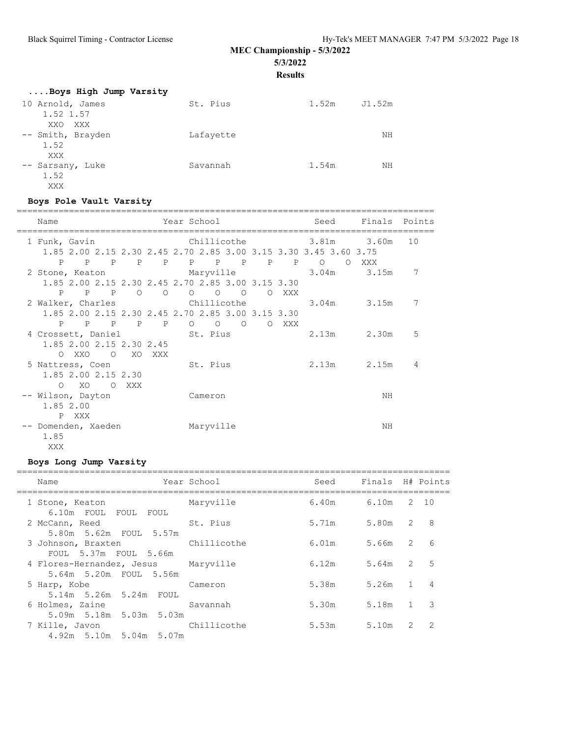# **MEC Championship - 5/3/2022**

**5/3/2022**

**Results**

| Boys High Jump Varsity  |           |       |        |
|-------------------------|-----------|-------|--------|
| 10 Arnold, James        | St. Pius  | 1.52m | J1.52m |
| 1.52 1.57<br>XXO<br>XXX |           |       |        |
| -- Smith, Brayden       | Lafayette |       | NΗ     |
| 1.52                    |           |       |        |
| XXX<br>-- Sarsany, Luke | Savannah  | 1.54m | ΝH     |
| 1.52                    |           |       |        |
| XXX                     |           |       |        |

#### **Boys Pole Vault Varsity**

| Name                                                                                    |                   |          |         | Year School |                     |         |                                             |     | Seed  | Finals Points            |                |
|-----------------------------------------------------------------------------------------|-------------------|----------|---------|-------------|---------------------|---------|---------------------------------------------|-----|-------|--------------------------|----------------|
| 1 Funk, Gavin<br>1.85 2.00 2.15 2.30 2.45 2.70 2.85 3.00 3.15 3.30 3.45 3.60 3.75       |                   |          |         | Chillicothe |                     |         |                                             |     |       | 3.81m 3.60m              | 10             |
| P<br>2 Stone, Keaton Maryville<br>1.85 2.00 2.15 2.30 2.45 2.70 2.85 3.00 3.15 3.30     | P P P P P P P P P |          |         |             |                     |         |                                             |     | $P$ 0 | O XXX<br>$3.04m$ $3.15m$ | 7              |
| P<br>2 Walker, Charles Chillicothe<br>1.85 2.00 2.15 2.30 2.45 2.70 2.85 3.00 3.15 3.30 | P P               | $\circ$  | $\circ$ |             | $\circ$<br>$\Omega$ | $\circ$ | $\circ$                                     | XXX |       | $3.04m$ $3.15m$          | 7              |
| P<br>4 Crossett, Daniel St. Pius<br>1.85 2.00 2.15 2.30 2.45                            | P P P             |          | P       |             |                     |         | $\begin{matrix} 0 & 0 & 0 & 0 \end{matrix}$ | XXX | 2.13m | 2.30m                    | 5              |
| O XXO<br>5 Nattress, Coen                                                               |                   | O XO XXX |         |             | St. Pius            |         |                                             |     |       | 2.13m 2.15m              | $\overline{4}$ |
| 1.85 2.00 2.15 2.30<br>O XO O<br>-- Wilson, Dayton                                      |                   | XXX      |         |             | Cameron             |         |                                             |     |       | ΝH                       |                |
| 1.85 2.00<br>$\mathbf{P}$<br>XXX<br>-- Domenden, Xaeden                                 |                   |          |         |             | Maryville           |         |                                             |     |       | ΝH                       |                |
| 1.85<br>XXX                                                                             |                   |          |         |             |                     |         |                                             |     |       |                          |                |

## **Boys Long Jump Varsity**

| Name<br>=================                                        | Year School | Seed  | Finals H# Points |                |                |
|------------------------------------------------------------------|-------------|-------|------------------|----------------|----------------|
| 1 Stone, Keaton                                                  | Maryville   | 6.40m | 6.10m            |                | 2 10           |
| 6.10m FOUL FOUL FOUL<br>2 McCann, Reed<br>5.80m 5.62m FOUL 5.57m | St. Pius    | 5.71m | 5.80m 2          |                | -8             |
| 3 Johnson, Braxten<br>FOUL 5.37m FOUL 5.66m                      | Chillicothe | 6.01m | 5.66m 2          |                | 6              |
| 4 Flores-Hernandez, Jesus Maryville<br>5.64m 5.20m FOUL 5.56m    |             | 6.12m | 5.64m 2          |                | -5             |
| 5 Harp, Kobe                                                     | Cameron     | 5.38m | 5.26m            | $\overline{1}$ | $\overline{4}$ |
| 5.14m 5.26m 5.24m FOUL<br>6 Holmes, Zaine                        | Savannah    | 5.30m | 5.18m 1          |                | 3              |
| 5.09m 5.18m 5.03m 5.03m<br>7 Kille, Javon                        | Chillicothe | 5.53m | 5.10m            | $\mathcal{L}$  | $\overline{2}$ |
| $4.92m$ 5.10m 5.04m 5.07m                                        |             |       |                  |                |                |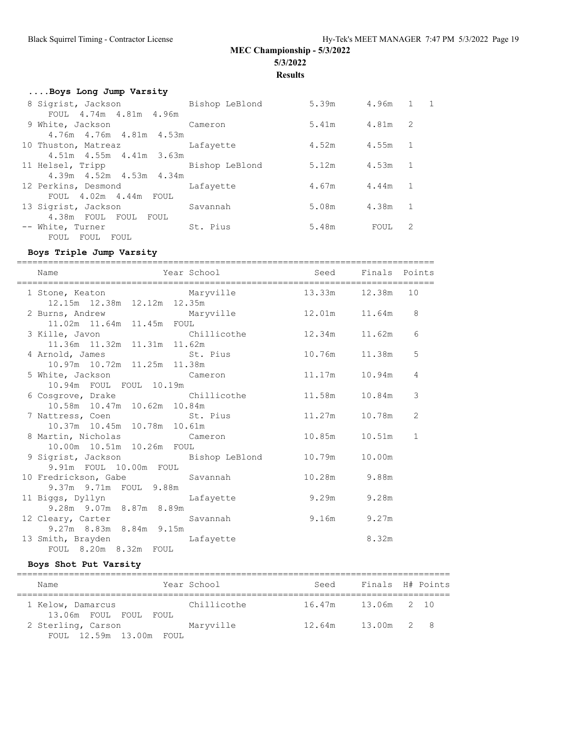**Results**

| Boys Long Jump Varsity            |          |                 |         |     |  |  |  |
|-----------------------------------|----------|-----------------|---------|-----|--|--|--|
| 8 Sigrist, Jackson Bishop LeBlond |          | 5.39m 4.96m 1 1 |         |     |  |  |  |
| FOUL 4.74m 4.81m 4.96m            |          |                 |         |     |  |  |  |
| 9 White, Jackson Cameron          |          | 5.41m 4.81m 2   |         |     |  |  |  |
| 4.76m 4.76m 4.81m 4.53m           |          |                 |         |     |  |  |  |
| 10 Thuston, Matreaz Lafayette     |          | 4.52m           | 4.55m 1 |     |  |  |  |
| 4.51m 4.55m 4.41m 3.63m           |          |                 |         |     |  |  |  |
| 11 Helsel, Tripp Bishop LeBlond   |          | 5.12m           | 4.53m   | - 1 |  |  |  |
| 4.39m 4.52m 4.53m 4.34m           |          |                 |         |     |  |  |  |
| 12 Perkins, Desmond Lafayette     |          | 4.67m 4.44m 1   |         |     |  |  |  |
| FOUL 4.02m 4.44m FOUL             |          |                 |         |     |  |  |  |
| 13 Sigrist, Jackson<br>Savannah   |          | 5.08m 4.38m 1   |         |     |  |  |  |
| 4.38m FOUL FOUL FOUL              |          |                 |         |     |  |  |  |
| -- White, Turner                  | St. Pius | 5.48m           | FOUL    | 2   |  |  |  |
| FOUL FOUL FOUL                    |          |                 |         |     |  |  |  |

#### **Boys Triple Jump Varsity**

================================================================================ Name Year School Seed Finals Points ================================================================================ 1 Stone, Keaton Maryville 13.33m 12.38m 10 12.15m 12.38m 12.12m 12.35m 2 Burns, Andrew Maryville 12.01m 11.64m 8 11.02m 11.64m 11.45m FOUL 3 Kille, Javon Chillicothe 12.34m 11.62m 6 11.36m 11.32m 11.31m 11.62m 4 Arnold, James St. Pius 10.76m 11.38m 5 10.97m 10.72m 11.25m 11.38m 5 White, Jackson Cameron 11.17m 10.94m 4 10.94m FOUL FOUL 10.19m 6 Cosgrove, Drake Chillicothe 11.58m 10.84m 3 10.58m 10.47m 10.62m 10.84m 10.30m 10.37m 10.82m 10.82m<br>7 Nattress, Coen St. Pius 11.27m 10.78m 2 10.37m 10.45m 10.78m 10.61m 8 Martin, Nicholas Cameron 10.85m 10.51m 1 10.00m 10.51m 10.26m FOUL 9 Sigrist, Jackson Bishop LeBlond 10.79m 10.00m 9.91m FOUL 10.00m FOUL 10 Fredrickson, Gabe Savannah 10.28m 9.88m 9.37m 9.71m FOUL 9.88m 11 Biggs, Dyllyn Lafayette 9.29m 9.28m 9.28m 9.07m 8.87m 8.89m 12 Cleary, Carter Savannah 9.16m 9.27m 9.27m 8.83m 8.84m 9.15m 13 Smith, Brayden Lafayette **Example 2018** 13 Smith, Brayden FOUL 8.20m 8.32m FOUL

#### **Boys Shot Put Varsity**

| Name                                       | Year School | Seed               | Finals H# Points |  |
|--------------------------------------------|-------------|--------------------|------------------|--|
| 1 Kelow, Damarcus<br>13.06m FOUL FOUL FOUL | Chillicothe | 16.47m 13.06m 2 10 |                  |  |
| 2 Sterling, Carson                         | Maryville   | 12.64m             | $13.00m$ 2 8     |  |
| FOUL 12.59m 13.00m FOUL                    |             |                    |                  |  |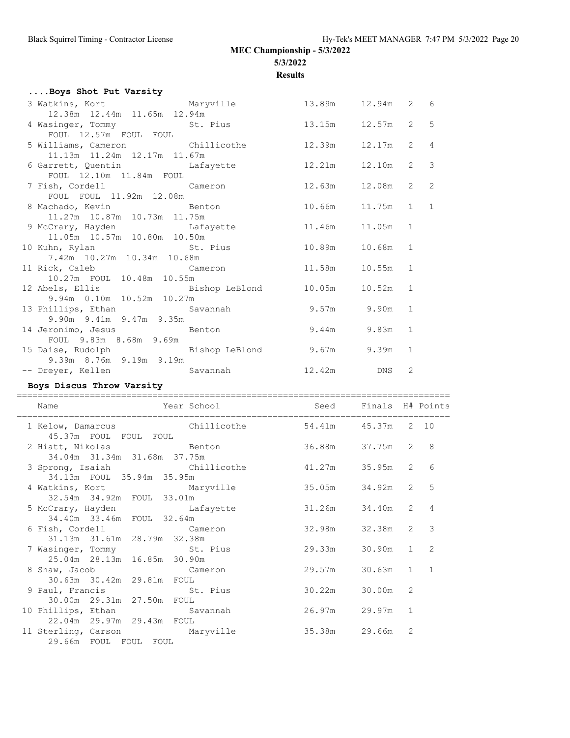**Results**

| Boys Shot Put Varsity                                                             |               |             |                |                |
|-----------------------------------------------------------------------------------|---------------|-------------|----------------|----------------|
| 3 Watkins, Kort Maryville 13.89m 12.94m 2 6                                       |               |             |                |                |
| 12.38m  12.44m  11.65m  12.94m                                                    |               |             |                |                |
| 4 Wasinger, Tommy St. Pius 3.15m 12.57m                                           |               |             | 2 <sub>5</sub> |                |
| FOUL 12.57m FOUL FOUL                                                             |               |             |                |                |
| 5 Williams, Cameron Chillicothe 12.39m 12.17m                                     |               |             | $2^{\circ}$    | $\overline{4}$ |
| 11.13m  11.24m  12.17m  11.67m                                                    |               |             |                |                |
| 6 Garrett, Quentin and Lafayette 12.21m 12.10m                                    |               |             | $2^{\circ}$    | $\mathbf{3}$   |
| FOUL 12.10m 11.84m FOUL                                                           |               |             |                |                |
| 7 Fish, Cordell Cameron                                                           | 12.63m 12.08m |             | $2 \quad 2$    |                |
| FOUL FOUL 11.92m 12.08m                                                           |               |             |                |                |
| 8 Machado, Kevin Benton Benton 10.66m 11.75m                                      |               |             | $1 \quad 1$    |                |
| 11.27m  10.87m  10.73m  11.75m                                                    |               |             |                |                |
| 9 McCrary, Hayden and Lafayette 11.46m 11.05m                                     |               |             | 1              |                |
| 11.05m 10.57m 10.80m 10.50m                                                       |               |             |                |                |
| 10 Kuhn, Rylan                           St. Pius               10.89m     10.68m |               |             | $\mathbf{1}$   |                |
| 7.42m 10.27m 10.34m 10.68m                                                        |               |             |                |                |
| 11 Rick, Caleb Cameron 11.58m 10.55m                                              |               |             | $\mathbf{1}$   |                |
| 10.27m FOUL 10.48m 10.55m                                                         |               |             |                |                |
| 12 Abels, Ellis                 Bishop LeBlond         10.05m     10.52m          |               |             | 1              |                |
| 9.94m  0.10m  10.52m  10.27m                                                      |               |             |                |                |
| 13 Phillips, Ethan Savannah                                                       |               | 9.57m 9.90m | $\mathbf{1}$   |                |
| 9.90m 9.41m 9.47m 9.35m                                                           |               |             |                |                |
| 14 Jeronimo, Jesus<br>FOUL 9.83m 8.68m 9.69m                                      |               | 9.44m 9.83m | $\mathbf{1}$   |                |
|                                                                                   |               |             |                |                |
| 15 Daise, Rudolph Bishop LeBlond 9.67m 9.39m                                      |               |             | $\mathbf{1}$   |                |
| 9.39m 8.76m 9.19m 9.19m                                                           |               |             |                |                |
| -- Dreyer, Kellen Savannah 12.42m DNS                                             |               |             | 2              |                |

#### **Boys Discus Throw Varsity**

===================================================================================

| External School<br>Name<br>----------------------------------- | Seed          | Finals H# Points |                |                |
|----------------------------------------------------------------|---------------|------------------|----------------|----------------|
| 1 Kelow, Damarcus Chillicothe<br>45.37m FOUL FOUL FOUL         | 54.41m 45.37m |                  |                | 2 10           |
| 2 Hiatt, Nikolas Manuel Benton<br>34.04m 31.34m 31.68m 37.75m  | 36.88m        | 37.75m           | $\overline{2}$ | 8              |
| 3 Sprong, Isaiah Chillicothe<br>34.13m FOUL 35.94m 35.95m      | 41.27m        | 35.95m           | 2              | 6              |
| 4 Watkins, Kort Maryville<br>32.54m 34.92m FOUL 33.01m         | 35.05m        | 34.92m           | $\overline{2}$ | 5              |
| 5 McCrary, Hayden Lafayette<br>34.40m 33.46m FOUL 32.64m       | 31.26m        | 34.40m           | $\overline{2}$ | 4              |
| 6 Fish, Cordell Cameron<br>31.13m 31.61m 28.79m 32.38m         | 32.98m        | 32.38m           | $\overline{2}$ | 3              |
| 7 Wasinger, Tommy St. Pius<br>25.04m 28.13m 16.85m 30.90m      | 29.33m        | 30.90m           | $\mathbf{1}$   | 2              |
| 8 Shaw, Jacob Cameron<br>30.63m 30.42m 29.81m FOUL             | 29.57m        | 30.63m           | $\mathbf{1}$   | $\overline{1}$ |
| 9 Paul, Francis St. Pius<br>30.00m 29.31m 27.50m FOUL          | 30.22m        | 30.00m           | 2              |                |
| 10 Phillips, Ethan Savannah<br>22.04m 29.97m 29.43m FOUL       | 26.97m        | 29.97m           | $\mathbf{1}$   |                |
| 11 Sterling, Carson Maryville<br>29.66m FOUL FOUL FOUL         | 35.38m        | 29.66m           | 2              |                |
|                                                                |               |                  |                |                |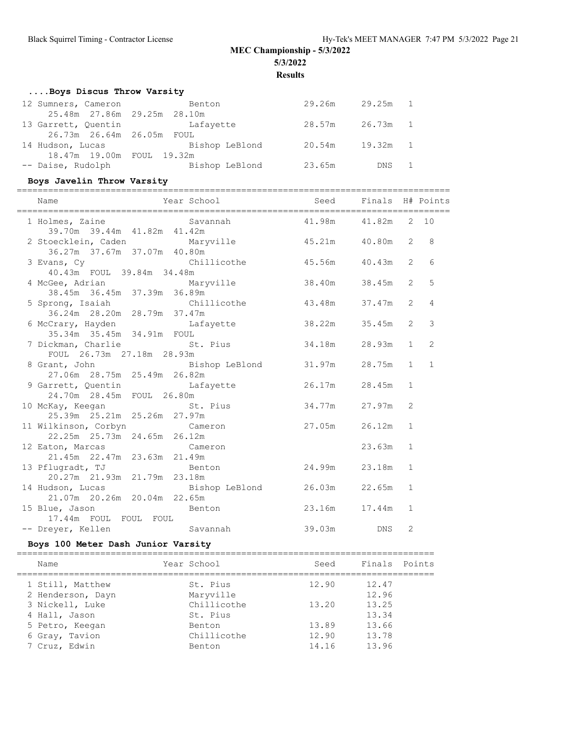**Results**

# **....Boys Discus Throw Varsity**

| 12 Sumners, Cameron       | Benton                      | 29.26m          | 29.25m 1        |  |
|---------------------------|-----------------------------|-----------------|-----------------|--|
|                           | 25.48m 27.86m 29.25m 28.10m |                 |                 |  |
| 13 Garrett, Ouentin       | Lafayette                   |                 | 28.57m 26.73m 1 |  |
|                           |                             |                 |                 |  |
| 14 Hudson, Lucas          | Bishop LeBlond              | 20.54m 19.32m 1 |                 |  |
| 18.47m 19.00m FOUL 19.32m |                             |                 |                 |  |
| -- Daise, Rudolph         | Bishop LeBlond              | 23.65m          | DNS 1           |  |

# **Boys Javelin Throw Varsity**

| Name                                                                                                          | Year School Seed Finals H# Points |               |        |                |                |
|---------------------------------------------------------------------------------------------------------------|-----------------------------------|---------------|--------|----------------|----------------|
| 1 Holmes, Zaine 5avannah (1.98m $41.98$ m $41.82$ m 2 10<br>39.70m 39.44m 41.82m 41.42m                       |                                   |               |        |                |                |
| 2 Stoecklein, Caden Maryville 45.21m 40.80m<br>36.27m 37.67m 37.07m 40.80m                                    |                                   |               |        | $\overline{2}$ | 8              |
| 3 Evans, Cy Chillicothe 45.56m 40.43m                                                                         |                                   |               |        | $\overline{2}$ | 6              |
| 40.43m FOUL 39.84m 34.48m<br>4 McGee, Adrian Maryville 38.40m 38.45m<br>38.45m 36.45m 37.39m 36.89m           |                                   |               |        | $\overline{2}$ | 5              |
| 5 Sprong, Isaiah Chillicothe 43.48m 37.47m<br>36.24m 28.20m 28.79m 37.47m                                     |                                   |               |        | $\overline{2}$ | $\overline{4}$ |
| 6 McCrary, Hayden Lafayette 38.22m<br>35.34m 35.45m 34.91m FOUL                                               |                                   |               | 35.45m | $\overline{2}$ | 3              |
| 7 Dickman, Charlie St. Pius                                                                                   |                                   | 34.18m 28.93m |        | $\mathbf{1}$   | 2              |
| FOUL 26.73m 27.18m 28.93m<br>8 Grant, John                         Bishop LeBlond         31.97m       28.75m |                                   |               |        | $\mathbf{1}$   | $\mathbf{1}$   |
| 27.06m 28.75m 25.49m 26.82m<br>9 Garrett, Quentin Cafayette 26.17m 28.45m                                     |                                   |               |        | $\mathbf{1}$   |                |
| 24.70m 28.45m FOUL 26.80m<br>10 McKay, Keegan St. Pius 34.77m 27.97m                                          |                                   |               |        | 2              |                |
| 25.39m 25.21m 25.26m 27.97m<br>11 Wilkinson, Corbyn Cameron 27.05m 26.12m                                     |                                   |               |        | $\mathbf{1}$   |                |
| 22.25m  25.73m  24.65m  26.12m<br>12 Eaton, Marcas Cameron                                                    |                                   |               | 23.63m | $\mathbf{1}$   |                |
| 21.45m  22.47m  23.63m  21.49m<br>13 Pflugradt, TJ Benton 24.99m 23.18m                                       |                                   |               |        | $\mathbf{1}$   |                |
| 20.27m 21.93m 21.79m 23.18m<br>14 Hudson, Lucas Bishop LeBlond 26.03m 22.65m                                  |                                   |               |        | $\mathbf{1}$   |                |
| 21.07m 20.26m 20.04m 22.65m<br>15 Blue, Jason Benton                                                          |                                   | 23.16m 17.44m |        | $\mathbf{1}$   |                |
| 17.44m FOUL FOUL FOUL<br>-- Dreyer, Kellen Savannah                                                           |                                   | 39.03m DNS    |        | $\overline{2}$ |                |

## **Boys 100 Meter Dash Junior Varsity**

| Name                                               | Year School                     | Seed                    | Finals Points           |  |
|----------------------------------------------------|---------------------------------|-------------------------|-------------------------|--|
| 1 Still, Matthew<br>2 Henderson, Dayn              | St. Pius<br>Maryville           | 12.90                   | 12.47<br>12.96          |  |
| 3 Nickell, Luke<br>4 Hall, Jason                   | Chillicothe<br>St. Pius         | 13.20                   | 13.25<br>13.34          |  |
| 5 Petro, Keegan<br>6 Gray, Tavion<br>7 Cruz, Edwin | Benton<br>Chillicothe<br>Benton | 13.89<br>12.90<br>14.16 | 13.66<br>13.78<br>13.96 |  |
|                                                    |                                 |                         |                         |  |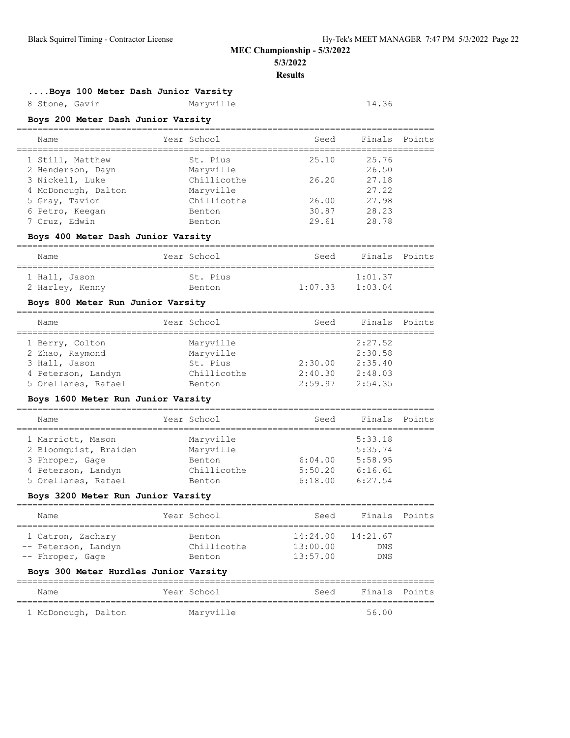# **Results**

================================================================================

**....Boys 100 Meter Dash Junior Varsity**

8 Stone, Gavin Maryville 14.36

#### **Boys 200 Meter Dash Junior Varsity**

| Name                | Year School   | Seed  | Finals Points |  |
|---------------------|---------------|-------|---------------|--|
| 1 Still, Matthew    | St. Pius      | 25.10 | 25.76         |  |
| 2 Henderson, Dayn   | Maryville     |       | 26.50         |  |
| 3 Nickell, Luke     | Chillicothe   | 26.20 | 27.18         |  |
| 4 McDonough, Dalton | Maryville     |       | 27.22         |  |
| 5 Gray, Tavion      | Chillicothe   | 26.00 | 27.98         |  |
| 6 Petro, Keegan     | Benton        | 30.87 | 28.23         |  |
| 7 Cruz, Edwin       | <b>Benton</b> | 29.61 | 28.78         |  |

#### **Boys 400 Meter Dash Junior Varsity**

| Name            | Year School | Seed    | Finals Points |  |
|-----------------|-------------|---------|---------------|--|
| 1 Hall, Jason   | St. Pius    |         | 1:01.37       |  |
| 2 Harley, Kenny | Benton      | 1:07.33 | 1:03.04       |  |

## **Boys 800 Meter Run Junior Varsity**

| Name                | Year School   | Seed    | Finals Points |  |
|---------------------|---------------|---------|---------------|--|
| 1 Berry, Colton     | Maryville     |         | 2:27.52       |  |
| 2 Zhao, Raymond     | Maryville     |         | 2:30.58       |  |
| 3 Hall, Jason       | St. Pius      | 2:30.00 | 2:35.40       |  |
| 4 Peterson, Landyn  | Chillicothe   | 2:40.30 | 2:48.03       |  |
| 5 Orellanes, Rafael | <b>Benton</b> | 2:59.97 | 2:54.35       |  |

## **Boys 1600 Meter Run Junior Varsity**

| Name                  | Year School | Seed    | Finals Points |  |
|-----------------------|-------------|---------|---------------|--|
| 1 Marriott, Mason     | Maryville   |         | 5:33.18       |  |
| 2 Bloomquist, Braiden | Maryville   |         | 5:35.74       |  |
| 3 Phroper, Gage       | Benton      | 6:04.00 | 5:58.95       |  |
| 4 Peterson, Landyn    | Chillicothe | 5:50.20 | 6:16.61       |  |
| 5 Orellanes, Rafael   | Benton      | 6:18.00 | 6:27.54       |  |

#### **Boys 3200 Meter Run Junior Varsity**

| Name                                                         | Year School                            | Seed                 | Finals Points                                     |  |
|--------------------------------------------------------------|----------------------------------------|----------------------|---------------------------------------------------|--|
| 1 Catron, Zachary<br>-- Peterson, Landyn<br>-- Phroper, Gage | <b>Benton</b><br>Chillicothe<br>Benton | 13:00.00<br>13:57.00 | $14:24.00$ $14:21.67$<br><b>DNS</b><br><b>DNS</b> |  |
| Boys 300 Meter Hurdles Junior Varsity                        |                                        |                      |                                                   |  |
| Name                                                         | Year School                            | Seed                 | Finals Points                                     |  |
|                                                              |                                        |                      |                                                   |  |

1 McDonough, Dalton Maryville 1 Margue 1 56.00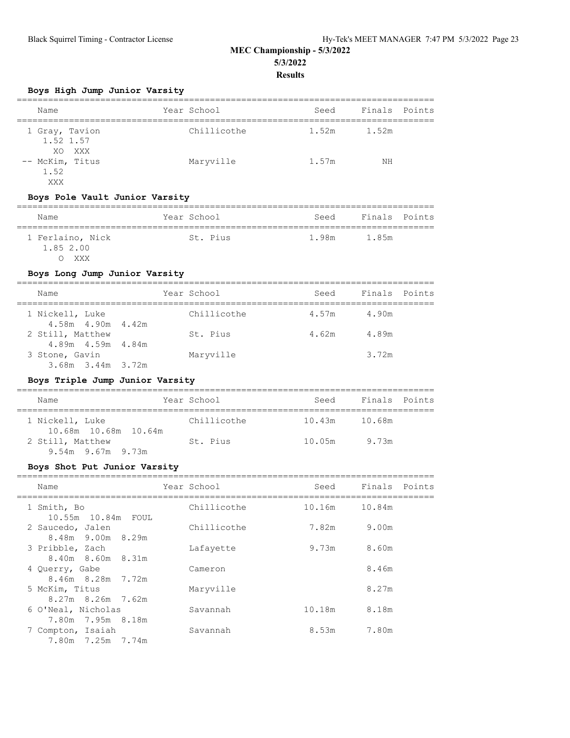## **Boys High Jump Junior Varsity**

| Name                                  | Year School | Seed  | Finals Points |  |
|---------------------------------------|-------------|-------|---------------|--|
| 1 Gray, Tavion<br>1.52 1.57<br>XO XXX | Chillicothe | 1.52m | 1.52m         |  |
| -- McKim, Titus<br>1.52<br>XXX        | Maryville   | 1.57m | ΝH            |  |

## **Boys Pole Vault Junior Varsity**

| Name                                 | Year School | Seed  | Finals Points |  |  |  |
|--------------------------------------|-------------|-------|---------------|--|--|--|
| 1 Ferlaino, Nick<br>1.85 2.00<br>XXX | St. Pius    | 1.98m | 1.85m         |  |  |  |

## **Boys Long Jump Junior Varsity**

| Name                                    | Year School | Seed  | Finals Points |  |
|-----------------------------------------|-------------|-------|---------------|--|
| 1 Nickell, Luke<br>4.58m 4.90m 4.42m    | Chillicothe | 4.57m | 4.90m         |  |
| 2 Still, Matthew<br>4.89m  4.59m  4.84m | St. Pius    | 4.62m | 4.89m         |  |
| 3 Stone, Gavin                          | Maryville   |       | 3.72m         |  |
| 3.68m 3.44m 3.72m                       |             |       |               |  |

## **Boys Triple Jump Junior Varsity**

| Name                                        | Year School | Seed   | Finals Points |  |
|---------------------------------------------|-------------|--------|---------------|--|
| 1 Nickell, Luke<br>10.68m 10.68m 10.64m     | Chillicothe | 10.43m | 10.68m        |  |
| 2 Still, Matthew<br>$9.54m$ $9.67m$ $9.73m$ | St. Pius    | 10.05m | 9.73m         |  |

#### **Boys Shot Put Junior Varsity**

| Name                                    | Year School | Seed   | Finals Points |
|-----------------------------------------|-------------|--------|---------------|
| 1 Smith, Bo<br>10.55m 10.84m FOUL       | Chillicothe |        | 10.16m 10.84m |
| 2 Saucedo, Jalen<br>8.48m 9.00m 8.29m   | Chillicothe | 7.82m  | 9.00m         |
| 3 Pribble, Zach<br>8.40m 8.60m 8.31m    | Lafayette   | 9.73m  | 8.60m         |
| 4 Querry, Gabe<br>8.46m 8.28m 7.72m     | Cameron     |        | 8.46m         |
| 5 McKim, Titus<br>8.27m 8.26m 7.62m     | Maryville   |        | 8.27m         |
| 6 O'Neal, Nicholas<br>7.80m 7.95m 8.18m | Savannah    | 10.18m | 8.18m         |
| 7 Compton, Isaiah<br>7.80m 7.25m 7.74m  | Savannah    | 8.53m  | 7.80m         |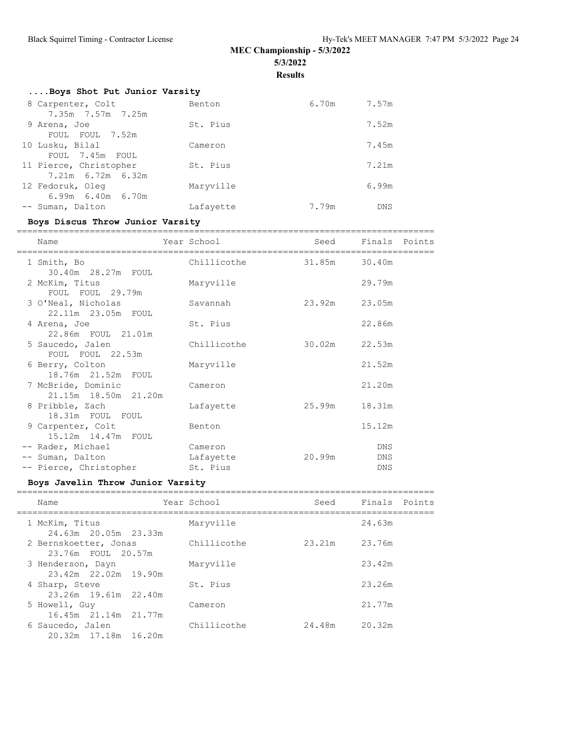# **MEC Championship - 5/3/2022**

**5/3/2022**

**Results**

|  |  |  |  |  | Boys Shot Put Junior Varsity |
|--|--|--|--|--|------------------------------|
|--|--|--|--|--|------------------------------|

|                         | Benton                                                                                                                 | 6.70m | 7.57m      |
|-------------------------|------------------------------------------------------------------------------------------------------------------------|-------|------------|
| 7.35m 7.57m 7.25m       |                                                                                                                        |       |            |
|                         | St. Pius                                                                                                               |       | 7.52m      |
| FOUL FOUL 7.52m         |                                                                                                                        |       |            |
|                         | Cameron                                                                                                                |       | 7.45m      |
| FOUL 7.45m FOUL         |                                                                                                                        |       |            |
|                         | St. Pius                                                                                                               |       | 7.21m      |
| 7.21m 6.72m 6.32m       |                                                                                                                        |       |            |
|                         | Maryville                                                                                                              |       | 6.99m      |
| $6.99m$ $6.40m$ $6.70m$ |                                                                                                                        |       |            |
|                         | Lafayette                                                                                                              | 7.79m | <b>DNS</b> |
|                         | 8 Carpenter, Colt<br>9 Arena, Joe<br>10 Lusku, Bilal<br>11 Pierce, Christopher<br>12 Fedoruk, Oleg<br>-- Suman, Dalton |       |            |

#### **Boys Discus Throw Junior Varsity**

================================================================================ Name **Year School** Seed Finals Points ================================================================================ 1 Smith, Bo Chillicothe 31.85m 30.40m 30.40m 28.27m FOUL 2 McKim, Titus Maryville 29.79m FOUL FOUL 29.79m 3 O'Neal, Nicholas Savannah 23.92m 23.05m 22.11m 23.05m FOUL 4 Arena, Joe St. Pius 22.86m 22.86m FOUL 21.01m 5 Saucedo, Jalen Chillicothe 30.02m 22.53m FOUL FOUL 22.53m 6 Berry, Colton Maryville 21.52m 18.76m 21.52m FOUL 7 McBride, Dominic Cameron 21.20m 21.15m 18.50m 21.20m 8 Pribble, Zach Lafayette 25.99m 18.31m 18.31m FOUL FOUL 9 Carpenter, Colt Benton 15.12m 15.12m 14.47m FOUL -- Rader, Michael Cameron DNS -- Suman, Dalton Lafayette 20.99m DNS -- Pierce, Christopher St. Pius DNS

#### **Boys Javelin Throw Junior Varsity**

| Name                                        | Year School | Seed   | Finals Points |
|---------------------------------------------|-------------|--------|---------------|
| 1 McKim, Titus<br>24.63m 20.05m 23.33m      | Maryville   |        | 24.63m        |
| 2 Bernskoetter, Jonas<br>23.76m FOUL 20.57m | Chillicothe | 23.21m | 23.76m        |
| 3 Henderson, Dayn<br>23.42m 22.02m 19.90m   | Maryville   |        | 23.42m        |
| 4 Sharp, Steve<br>23.26m 19.61m 22.40m      | St. Pius    |        | 23.26m        |
| 5 Howell, Guy<br>16.45m 21.14m 21.77m       | Cameron     |        | 21.77m        |
| 6 Saucedo, Jalen<br>20.32m 17.18m 16.20m    | Chillicothe | 24.48m | 20.32m        |